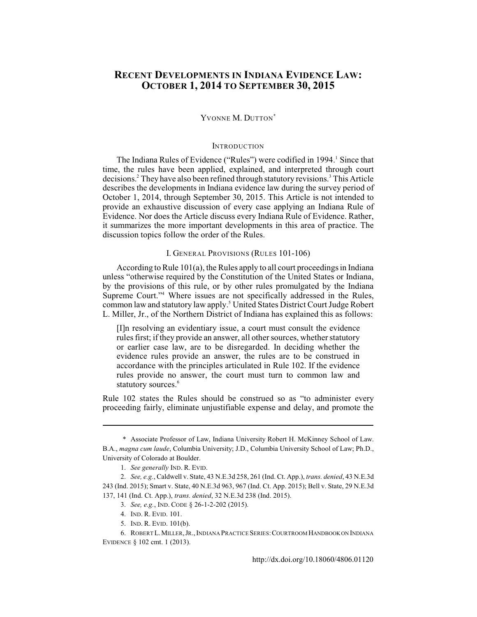# **RECENT DEVELOPMENTS IN INDIANA EVIDENCE LAW: OCTOBER 1, 2014 TO SEPTEMBER 30, 2015**

### YVONNE M. DUTTON<sup>\*</sup>

# **INTRODUCTION**

The Indiana Rules of Evidence ("Rules") were codified in 1994.<sup>1</sup> Since that time, the rules have been applied, explained, and interpreted through court decisions.<sup>2</sup> They have also been refined through statutory revisions.<sup>3</sup> This Article describes the developments in Indiana evidence law during the survey period of October 1, 2014, through September 30, 2015. This Article is not intended to provide an exhaustive discussion of every case applying an Indiana Rule of Evidence. Nor does the Article discuss every Indiana Rule of Evidence. Rather, it summarizes the more important developments in this area of practice. The discussion topics follow the order of the Rules.

# I. GENERAL PROVISIONS (RULES 101-106)

According to Rule 101(a), the Rules apply to all court proceedings in Indiana unless "otherwise required by the Constitution of the United States or Indiana, by the provisions of this rule, or by other rules promulgated by the Indiana Supreme Court."<sup>4</sup> Where issues are not specifically addressed in the Rules, common law and statutory law apply.<sup>5</sup> United States District Court Judge Robert L. Miller, Jr., of the Northern District of Indiana has explained this as follows:

[I]n resolving an evidentiary issue, a court must consult the evidence rules first; if they provide an answer, all other sources, whether statutory or earlier case law, are to be disregarded. In deciding whether the evidence rules provide an answer, the rules are to be construed in accordance with the principles articulated in Rule 102. If the evidence rules provide no answer, the court must turn to common law and statutory sources.<sup>6</sup>

Rule 102 states the Rules should be construed so as "to administer every proceeding fairly, eliminate unjustifiable expense and delay, and promote the

<sup>\*</sup> Associate Professor of Law, Indiana University Robert H. McKinney School of Law. B.A., *magna cum laude*, Columbia University; J.D., Columbia University School of Law; Ph.D., University of Colorado at Boulder.

<sup>1.</sup> *See generally* IND. R. EVID.

<sup>2.</sup> *See, e.g.*, Caldwell v. State, 43 N.E.3d 258, 261 (Ind. Ct. App.), *trans. denied*, 43 N.E.3d 243 (Ind. 2015); Smart v. State, 40 N.E.3d 963, 967 (Ind. Ct. App. 2015); Bell v. State, 29 N.E.3d 137, 141 (Ind. Ct. App.), *trans. denied*, 32 N.E.3d 238 (Ind. 2015).

<sup>3.</sup> *See, e.g.*, IND. CODE § 26-1-2-202 (2015).

<sup>4.</sup> IND. R. EVID. 101.

<sup>5.</sup> IND. R. EVID. 101(b).

<sup>6.</sup> ROBERT L.MILLER,JR.,INDIANA PRACTICE SERIES:COURTROOM HANDBOOK ON INDIANA EVIDENCE § 102 cmt. 1 (2013).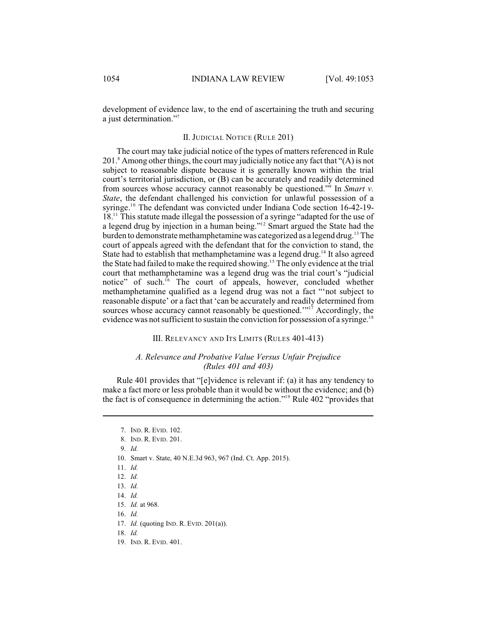development of evidence law, to the end of ascertaining the truth and securing a just determination."<sup>7</sup>

### II. JUDICIAL NOTICE (RULE 201)

The court may take judicial notice of the types of matters referenced in Rule  $201$ . Among other things, the court may judicially notice any fact that " $(A)$  is not subject to reasonable dispute because it is generally known within the trial court's territorial jurisdiction, or (B) can be accurately and readily determined from sources whose accuracy cannot reasonably be questioned."<sup>9</sup> In *Smart v*. *State*, the defendant challenged his conviction for unlawful possession of a syringe.<sup>10</sup> The defendant was convicted under Indiana Code section 16-42-19- $18<sup>11</sup>$ . This statute made illegal the possession of a syringe "adapted for the use of a legend drug by injection in a human being."<sup>12</sup> Smart argued the State had the burden to demonstrate methamphetamine was categorized as a legend drug.<sup>13</sup> The court of appeals agreed with the defendant that for the conviction to stand, the State had to establish that methamphetamine was a legend drug.<sup>14</sup> It also agreed the State had failed to make the required showing.<sup>15</sup> The only evidence at the trial court that methamphetamine was a legend drug was the trial court's "judicial notice" of such.<sup> $16$ </sup> The court of appeals, however, concluded whether methamphetamine qualified as a legend drug was not a fact "'not subject to reasonable dispute' or a fact that 'can be accurately and readily determined from sources whose accuracy cannot reasonably be questioned. $1^{17}$  Accordingly, the evidence was not sufficient to sustain the conviction for possession of a syringe.<sup>18</sup>

#### III. RELEVANCY AND ITS LIMITS (RULES 401-413)

### *A. Relevance and Probative Value Versus Unfair Prejudice (Rules 401 and 403)*

Rule 401 provides that "[e]vidence is relevant if: (a) it has any tendency to make a fact more or less probable than it would be without the evidence; and (b) the fact is of consequence in determining the action."<sup>19</sup> Rule 402 "provides that

- 10. Smart v. State, 40 N.E.3d 963, 967 (Ind. Ct. App. 2015).
- 11. *Id.*
- 12. *Id.*
- 13. *Id.*
- 14. *Id.*
- 15. *Id.* at 968.
- 16. *Id.*
- 17. *Id.* (quoting IND. R. EVID. 201(a)).
- 18. *Id.*
- 19. IND. R. EVID. 401.

<sup>7.</sup> IND. R. EVID. 102.

<sup>8.</sup> IND. R. EVID. 201.

<sup>9.</sup> *Id.*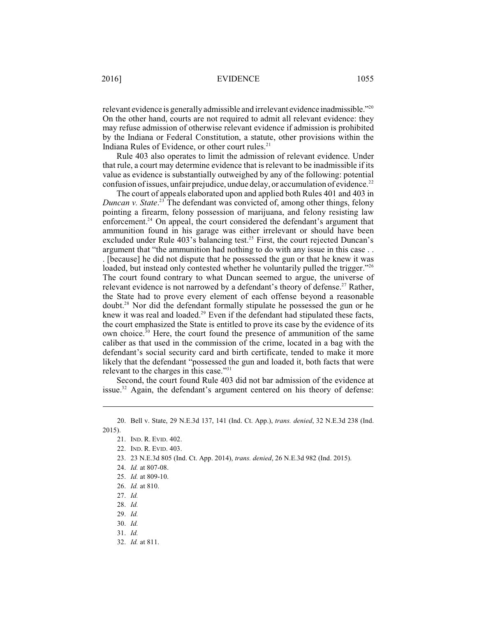relevant evidence is generally admissible and irrelevant evidence inadmissible."<sup>20</sup> On the other hand, courts are not required to admit all relevant evidence: they may refuse admission of otherwise relevant evidence if admission is prohibited by the Indiana or Federal Constitution, a statute, other provisions within the Indiana Rules of Evidence, or other court rules. $21$ 

Rule 403 also operates to limit the admission of relevant evidence. Under that rule, a court may determine evidence that is relevant to be inadmissible if its value as evidence is substantially outweighed by any of the following: potential confusion of issues, unfair prejudice, undue delay, or accumulation of evidence.<sup>22</sup>

The court of appeals elaborated upon and applied both Rules 401 and 403 in *Duncan v. State.*<sup>23</sup> The defendant was convicted of, among other things, felony pointing a firearm, felony possession of marijuana, and felony resisting law enforcement.<sup>24</sup> On appeal, the court considered the defendant's argument that ammunition found in his garage was either irrelevant or should have been excluded under Rule  $403$ 's balancing test.<sup>25</sup> First, the court rejected Duncan's argument that "the ammunition had nothing to do with any issue in this case . . . [because] he did not dispute that he possessed the gun or that he knew it was loaded, but instead only contested whether he voluntarily pulled the trigger."<sup>26</sup> The court found contrary to what Duncan seemed to argue, the universe of relevant evidence is not narrowed by a defendant's theory of defense.<sup>27</sup> Rather, the State had to prove every element of each offense beyond a reasonable doubt.<sup>28</sup> Nor did the defendant formally stipulate he possessed the gun or he knew it was real and loaded.<sup>29</sup> Even if the defendant had stipulated these facts, the court emphasized the State is entitled to prove its case by the evidence of its own choice.<sup>30</sup> Here, the court found the presence of ammunition of the same caliber as that used in the commission of the crime, located in a bag with the defendant's social security card and birth certificate, tended to make it more likely that the defendant "possessed the gun and loaded it, both facts that were relevant to the charges in this case."<sup>31</sup>

Second, the court found Rule 403 did not bar admission of the evidence at issue.<sup>32</sup> Again, the defendant's argument centered on his theory of defense:

23. 23 N.E.3d 805 (Ind. Ct. App. 2014), *trans. denied*, 26 N.E.3d 982 (Ind. 2015).

32. *Id.* at 811.

<sup>20.</sup> Bell v. State, 29 N.E.3d 137, 141 (Ind. Ct. App.), *trans. denied*, 32 N.E.3d 238 (Ind. 2015).

<sup>21.</sup> IND. R. EVID. 402.

<sup>22.</sup> IND. R. EVID. 403.

<sup>24.</sup> *Id.* at 807-08.

<sup>25.</sup> *Id.* at 809-10.

<sup>26.</sup> *Id.* at 810.

<sup>27.</sup> *Id.*

<sup>28.</sup> *Id.*

<sup>29.</sup> *Id.*

<sup>30.</sup> *Id.* 

<sup>31.</sup> *Id.*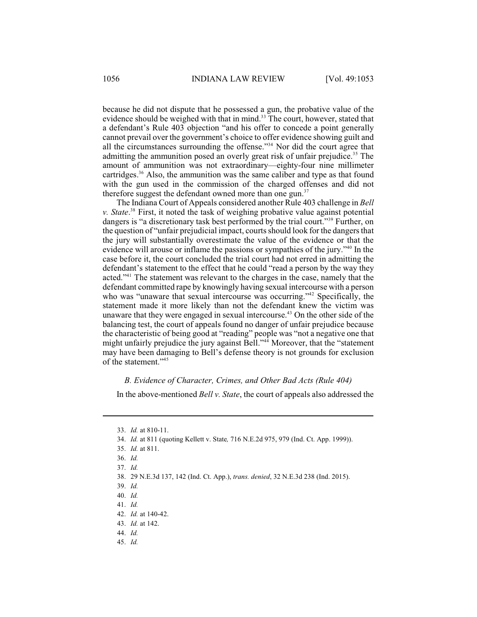because he did not dispute that he possessed a gun, the probative value of the evidence should be weighed with that in mind.<sup>33</sup> The court, however, stated that a defendant's Rule 403 objection "and his offer to concede a point generally cannot prevail over the government's choice to offer evidence showing guilt and all the circumstances surrounding the offense."<sup>34</sup> Nor did the court agree that admitting the ammunition posed an overly great risk of unfair prejudice.<sup>35</sup> The amount of ammunition was not extraordinary—eighty-four nine millimeter cartridges.<sup>36</sup> Also, the ammunition was the same caliber and type as that found with the gun used in the commission of the charged offenses and did not therefore suggest the defendant owned more than one gun.<sup>37</sup>

The Indiana Court of Appeals considered another Rule 403 challenge in *Bell* v. State.<sup>38</sup> First, it noted the task of weighing probative value against potential dangers is "a discretionary task best performed by the trial court."<sup>39</sup> Further, on the question of "unfair prejudicial impact, courts should look for the dangers that the jury will substantially overestimate the value of the evidence or that the evidence will arouse or inflame the passions or sympathies of the jury." $40$  In the case before it, the court concluded the trial court had not erred in admitting the defendant's statement to the effect that he could "read a person by the way they acted."<sup>41</sup> The statement was relevant to the charges in the case, namely that the defendant committed rape by knowingly having sexual intercourse with a person who was "unaware that sexual intercourse was occurring." Specifically, the statement made it more likely than not the defendant knew the victim was unaware that they were engaged in sexual intercourse.<sup> $43$ </sup> On the other side of the balancing test, the court of appeals found no danger of unfair prejudice because the characteristic of being good at "reading" people was "not a negative one that might unfairly prejudice the jury against Bell."<sup>44</sup> Moreover, that the "statement may have been damaging to Bell's defense theory is not grounds for exclusion of the statement."<sup>45</sup>

### *B. Evidence of Character, Crimes, and Other Bad Acts (Rule 404)*

In the above-mentioned *Bell v. State*, the court of appeals also addressed the

43. *Id.* at 142.

<sup>33.</sup> *Id.* at 810-11.

<sup>34.</sup> *Id.* at 811 (quoting Kellett v. State*,* 716 N.E.2d 975, 979 (Ind. Ct. App. 1999)).

<sup>35.</sup> *Id.* at 811.

<sup>36.</sup> *Id.*

<sup>37.</sup> *Id.*

<sup>38.</sup> 29 N.E.3d 137, 142 (Ind. Ct. App.), *trans. denied*, 32 N.E.3d 238 (Ind. 2015).

<sup>39.</sup> *Id.*

<sup>40.</sup> *Id.*

<sup>41.</sup> *Id.* 

<sup>42.</sup> *Id.* at 140-42.

<sup>44.</sup> *Id.*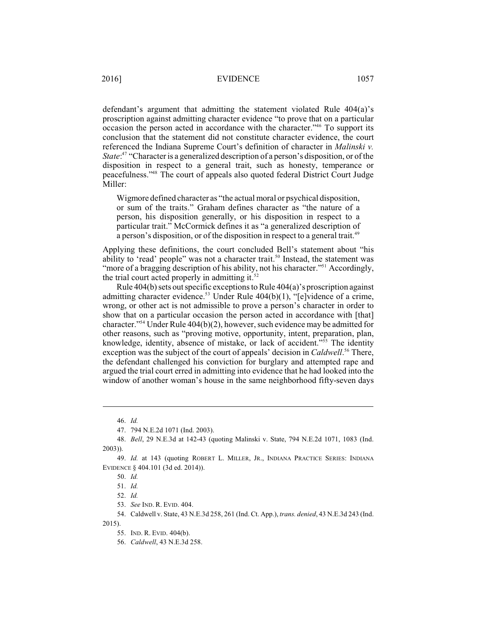defendant's argument that admitting the statement violated Rule 404(a)'s proscription against admitting character evidence "to prove that on a particular occasion the person acted in accordance with the character."<sup>46</sup> To support its conclusion that the statement did not constitute character evidence, the court referenced the Indiana Supreme Court's definition of character in *Malinski v. State*:<sup>47</sup> "Character is a generalized description of a person's disposition, or of the disposition in respect to a general trait, such as honesty, temperance or peacefulness."<sup>48</sup> The court of appeals also quoted federal District Court Judge Miller:

Wigmore defined character as "the actual moral or psychical disposition, or sum of the traits." Graham defines character as "the nature of a person, his disposition generally, or his disposition in respect to a particular trait." McCormick defines it as "a generalized description of a person's disposition, or of the disposition in respect to a general trait.<sup>49</sup>

Applying these definitions, the court concluded Bell's statement about "his ability to 'read' people" was not a character trait.<sup>50</sup> Instead, the statement was "more of a bragging description of his ability, not his character."<sup>51</sup> Accordingly, the trial court acted properly in admitting it.<sup>52</sup>

Rule 404(b) sets outspecific exceptions to Rule 404(a)'s proscription against admitting character evidence.<sup>53</sup> Under Rule  $404(b)(1)$ , "[e]vidence of a crime, wrong, or other act is not admissible to prove a person's character in order to show that on a particular occasion the person acted in accordance with [that] character."<sup>54</sup> Under Rule  $404(b)(2)$ , however, such evidence may be admitted for other reasons, such as "proving motive, opportunity, intent, preparation, plan, knowledge, identity, absence of mistake, or lack of accident." $55$  The identity exception was the subject of the court of appeals' decision in *Caldwell*.<sup>56</sup> There, the defendant challenged his conviction for burglary and attempted rape and argued the trial court erred in admitting into evidence that he had looked into the window of another woman's house in the same neighborhood fifty-seven days

<sup>46.</sup> *Id.* 

<sup>47.</sup> 794 N.E.2d 1071 (Ind. 2003).

<sup>48.</sup> *Bell*, 29 N.E.3d at 142-43 (quoting Malinski v. State, 794 N.E.2d 1071, 1083 (Ind. 2003)).

<sup>49.</sup> *Id.* at 143 (quoting ROBERT L. MILLER, JR., INDIANA PRACTICE SERIES: INDIANA EVIDENCE § 404.101 (3d ed. 2014)).

<sup>50.</sup> *Id.*

<sup>51.</sup> *Id.* 

<sup>52.</sup> *Id.* 

<sup>53.</sup> *See* IND. R. EVID. 404.

<sup>54.</sup> Caldwell v. State, 43 N.E.3d 258, 261 (Ind. Ct. App.), *trans. denied*, 43 N.E.3d 243 (Ind. 2015).

<sup>55.</sup> IND. R. EVID. 404(b).

<sup>56.</sup> *Caldwell*, 43 N.E.3d 258.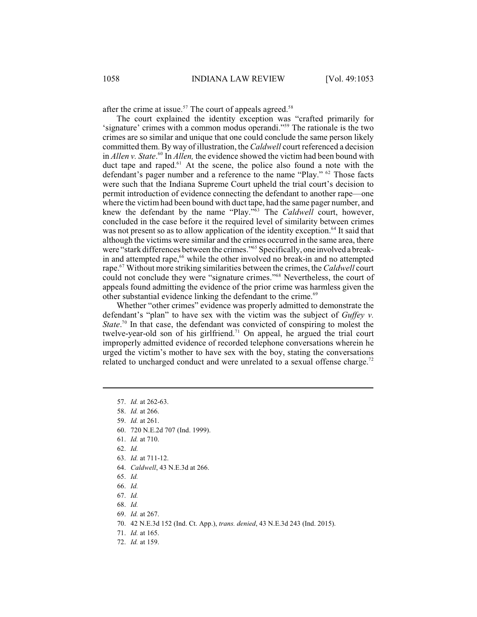after the crime at issue.<sup>57</sup> The court of appeals agreed.<sup>58</sup>

The court explained the identity exception was "crafted primarily for 'signature' crimes with a common modus operandi."<sup>59</sup> The rationale is the two crimes are so similar and unique that one could conclude the same person likely committed them. By way of illustration, the *Caldwell* court referenced a decision in *Allen v. State*.<sup>60</sup> In *Allen*, the evidence showed the victim had been bound with duct tape and raped. $61$  At the scene, the police also found a note with the defendant's pager number and a reference to the name "Play." <sup>62</sup> Those facts were such that the Indiana Supreme Court upheld the trial court's decision to permit introduction of evidence connecting the defendant to another rape—one where the victimhad been bound with duct tape, had the same pager number, and knew the defendant by the name "Play."<sup>63</sup> The *Caldwell* court, however, concluded in the case before it the required level of similarity between crimes was not present so as to allow application of the identity exception.<sup>64</sup> It said that although the victims were similar and the crimes occurred in the same area, there were "stark differences between the crimes."<sup>65</sup> Specifically, one involved a breakin and attempted rape,<sup>66</sup> while the other involved no break-in and no attempted rape.<sup>67</sup> Without more striking similarities between the crimes, the *Caldwell* court could not conclude they were "signature crimes."<sup>68</sup> Nevertheless, the court of appeals found admitting the evidence of the prior crime was harmless given the other substantial evidence linking the defendant to the crime. 69

Whether "other crimes" evidence was properly admitted to demonstrate the defendant's "plan" to have sex with the victim was the subject of *Guffey v. State*.<sup>70</sup> In that case, the defendant was convicted of conspiring to molest the twelve-year-old son of his girlfriend.<sup>71</sup> On appeal, he argued the trial court improperly admitted evidence of recorded telephone conversations wherein he urged the victim's mother to have sex with the boy, stating the conversations related to uncharged conduct and were unrelated to a sexual offense charge.<sup>72</sup>

- 60. 720 N.E.2d 707 (Ind. 1999).
- 61. *Id.* at 710.
- 62. *Id.*
- 63. *Id.* at 711-12.
- 64. *Caldwell*, 43 N.E.3d at 266.
- 65. *Id.*
- 66. *Id.*
- 67. *Id.*
- 68. *Id.*
- 69. *Id.* at 267.
- 70. 42 N.E.3d 152 (Ind. Ct. App.), *trans. denied*, 43 N.E.3d 243 (Ind. 2015).
- 71. *Id.* at 165.
- 72. *Id.* at 159.

<sup>57.</sup> *Id.* at 262-63.

<sup>58.</sup> *Id.* at 266.

<sup>59.</sup> *Id.* at 261.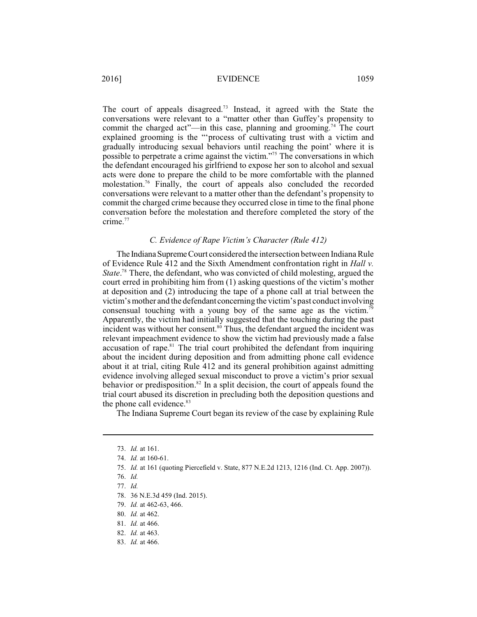The court of appeals disagreed.<sup>73</sup> Instead, it agreed with the State the conversations were relevant to a "matter other than Guffey's propensity to commit the charged act"—in this case, planning and grooming.<sup>74</sup> The court explained grooming is the "'process of cultivating trust with a victim and gradually introducing sexual behaviors until reaching the point' where it is possible to perpetrate a crime against the victim."<sup>75</sup> The conversations in which the defendant encouraged his girlfriend to expose her son to alcohol and sexual acts were done to prepare the child to be more comfortable with the planned molestation.<sup>76</sup> Finally, the court of appeals also concluded the recorded conversations were relevant to a matter other than the defendant's propensity to commit the charged crime because they occurred close in time to the final phone conversation before the molestation and therefore completed the story of the crime.<sup>77</sup>

### *C. Evidence of Rape Victim's Character (Rule 412)*

The Indiana Supreme Court considered the intersection between Indiana Rule of Evidence Rule 412 and the Sixth Amendment confrontation right in *Hall v. State*.<sup>78</sup> There, the defendant, who was convicted of child molesting, argued the court erred in prohibiting him from (1) asking questions of the victim's mother at deposition and (2) introducing the tape of a phone call at trial between the victim'smother and the defendant concerning the victim's past conduct involving consensual touching with a young boy of the same age as the victim.<sup>79</sup> Apparently, the victim had initially suggested that the touching during the past incident was without her consent.<sup>80</sup> Thus, the defendant argued the incident was relevant impeachment evidence to show the victim had previously made a false accusation of rape. $81$  The trial court prohibited the defendant from inquiring about the incident during deposition and from admitting phone call evidence about it at trial, citing Rule 412 and its general prohibition against admitting evidence involving alleged sexual misconduct to prove a victim's prior sexual behavior or predisposition.<sup>82</sup> In a split decision, the court of appeals found the trial court abused its discretion in precluding both the deposition questions and the phone call evidence.<sup>83</sup>

The Indiana Supreme Court began its review of the case by explaining Rule

<sup>73.</sup> *Id.* at 161.

<sup>74.</sup> *Id.* at 160-61.

<sup>75.</sup> *Id.* at 161 (quoting Piercefield v. State, 877 N.E.2d 1213, 1216 (Ind. Ct. App. 2007)).

<sup>76.</sup> *Id.* 

<sup>77.</sup> *Id.*

<sup>78.</sup> 36 N.E.3d 459 (Ind. 2015).

<sup>79.</sup> *Id.* at 462-63, 466.

<sup>80.</sup> *Id.* at 462.

<sup>81.</sup> *Id.* at 466.

<sup>82.</sup> *Id.* at 463.

<sup>83.</sup> *Id.* at 466.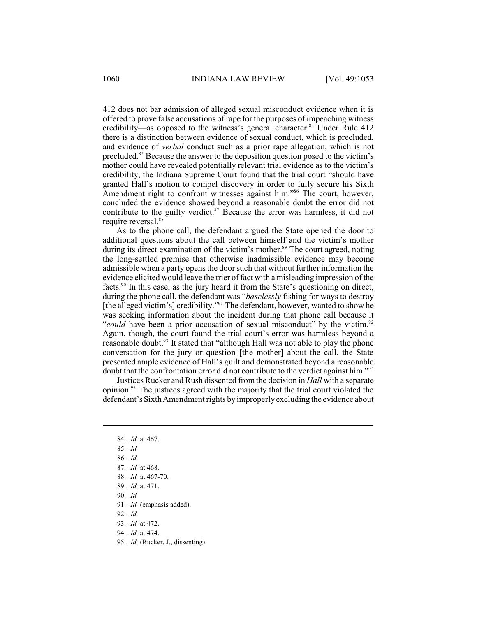412 does not bar admission of alleged sexual misconduct evidence when it is offered to prove false accusations of rape for the purposes of impeaching witness credibility—as opposed to the witness's general character.<sup>84</sup> Under Rule 412 there is a distinction between evidence of sexual conduct, which is precluded, and evidence of *verbal* conduct such as a prior rape allegation, which is not precluded.<sup>85</sup> Because the answer to the deposition question posed to the victim's mother could have revealed potentially relevant trial evidence as to the victim's credibility, the Indiana Supreme Court found that the trial court "should have granted Hall's motion to compel discovery in order to fully secure his Sixth Amendment right to confront witnesses against him."<sup>86</sup> The court, however, concluded the evidence showed beyond a reasonable doubt the error did not contribute to the guilty verdict. $87$  Because the error was harmless, it did not require reversal.<sup>88</sup>

As to the phone call, the defendant argued the State opened the door to additional questions about the call between himself and the victim's mother during its direct examination of the victim's mother.<sup>89</sup> The court agreed, noting the long-settled premise that otherwise inadmissible evidence may become admissible when a party opens the doorsuch that without further information the evidence elicited would leave the trier of fact with a misleading impression of the facts.<sup>90</sup> In this case, as the jury heard it from the State's questioning on direct, during the phone call, the defendant was "*baselessly* fishing for ways to destroy [the alleged victim's] credibility."<sup>91</sup> The defendant, however, wanted to show he was seeking information about the incident during that phone call because it "could have been a prior accusation of sexual misconduct" by the victim.<sup>92</sup> Again, though, the court found the trial court's error was harmless beyond a reasonable doubt. $93$  It stated that "although Hall was not able to play the phone conversation for the jury or question [the mother] about the call, the State presented ample evidence of Hall's guilt and demonstrated beyond a reasonable doubt that the confrontation error did not contribute to the verdict against him."<sup>94</sup>

Justices Rucker and Rush dissented from the decision in *Hall* with a separate opinion.<sup>95</sup> The justices agreed with the majority that the trial court violated the defendant's Sixth Amendment rights by improperly excluding the evidence about

- 90. *Id.*
- 91. *Id.* (emphasis added).
- 92. *Id.*
- 93. *Id.* at 472.
- 94. *Id.* at 474.
- 95. *Id.* (Rucker, J., dissenting).

<sup>84.</sup> *Id.* at 467.

<sup>85.</sup> *Id.* 

<sup>86.</sup> *Id.* 

<sup>87.</sup> *Id.* at 468.

<sup>88.</sup> *Id.* at 467-70.

<sup>89.</sup> *Id.* at 471.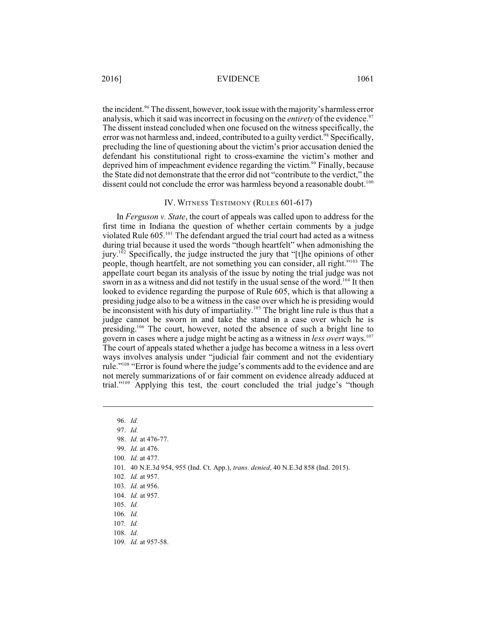the incident.<sup>96</sup> The dissent, however, took issue with the majority's harmless error analysis, which it said was incorrect in focusing on the *entirety* of the evidence.<sup>97</sup> The dissent instead concluded when one focused on the witness specifically, the error was not harmless and, indeed, contributed to a guilty verdict.<sup>98</sup> Specifically, precluding the line of questioning about the victim's prior accusation denied the defendant his constitutional right to cross-examine the victim's mother and deprived him of impeachment evidence regarding the victim.<sup>99</sup> Finally, because the State did not demonstrate that the error did not "contribute to the verdict," the dissent could not conclude the error was harmless beyond a reasonable doubt.<sup>100</sup>

#### IV. WITNESS TESTIMONY (RULES 601-617)

In *Ferguson v. State*, the court of appeals was called upon to address for the first time in Indiana the question of whether certain comments by a judge violated Rule 605.<sup>101</sup> The defendant argued the trial court had acted as a witness during trial because it used the words "though heartfelt" when admonishing the jury.<sup> $102$ </sup> Specifically, the judge instructed the jury that "[t]he opinions of other people, though heartfelt, are not something you can consider, all right."<sup>103</sup> The appellate court began its analysis of the issue by noting the trial judge was not sworn in as a witness and did not testify in the usual sense of the word.<sup>104</sup> It then looked to evidence regarding the purpose of Rule 605, which is that allowing a presiding judge also to be a witness in the case over which he is presiding would be inconsistent with his duty of impartiality.<sup>105</sup> The bright line rule is thus that a judge cannot be sworn in and take the stand in a case over which he is presiding.<sup>106</sup> The court, however, noted the absence of such a bright line to govern in cases where a judge might be acting as a witness in *less overt* ways.<sup>107</sup> The court of appeals stated whether a judge has become a witness in a less overt ways involves analysis under "judicial fair comment and not the evidentiary rule."<sup>108</sup> "Error is found where the judge's comments add to the evidence and are not merely summarizations of or fair comment on evidence already adduced at trial."<sup>109</sup> Applying this test, the court concluded the trial judge's "though

- 101. 40 N.E.3d 954, 955 (Ind. Ct. App.), *trans. denied*, 40 N.E.3d 858 (Ind. 2015).
- 102. *Id.* at 957.
- 103. *Id.* at 956.
- 104. *Id.* at 957.
- 105. *Id.*
- 106. *Id.*
- 107. *Id.*
- 108. *Id.*
- 109. *Id.* at 957-58.

<sup>96.</sup> *Id.*

<sup>98.</sup> *Id.* at 476-77.

<sup>99.</sup> *Id.* at 476.

<sup>100.</sup> *Id.* at 477.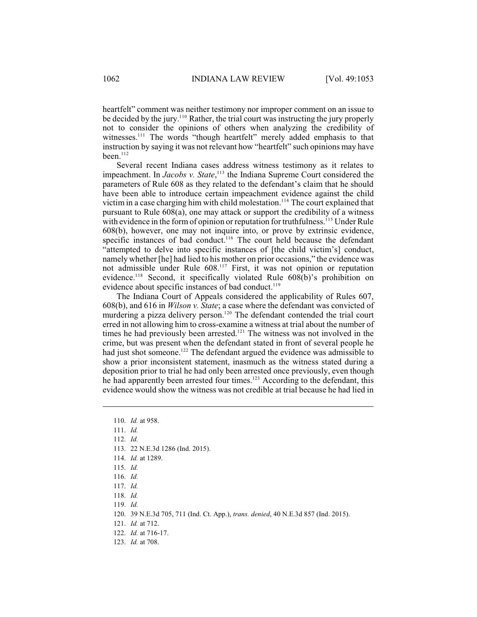heartfelt" comment was neither testimony nor improper comment on an issue to be decided by the jury.<sup>110</sup> Rather, the trial court was instructing the jury properly not to consider the opinions of others when analyzing the credibility of witnesses.<sup>111</sup> The words "though heartfelt" merely added emphasis to that instruction by saying it was not relevant how "heartfelt" such opinions may have been. $112$ 

Several recent Indiana cases address witness testimony as it relates to impeachment. In *Jacobs v. State*, <sup>113</sup> the Indiana Supreme Court considered the parameters of Rule 608 as they related to the defendant's claim that he should have been able to introduce certain impeachment evidence against the child victim in a case charging him with child molestation.<sup>114</sup> The court explained that pursuant to Rule 608(a), one may attack or support the credibility of a witness with evidence in the form of opinion or reputation for truthfulness.<sup>115</sup> Under Rule 608(b), however, one may not inquire into, or prove by extrinsic evidence, specific instances of bad conduct.<sup>116</sup> The court held because the defendant "attempted to delve into specific instances of [the child victim's] conduct, namely whether [he] had lied to his mother on prior occasions," the evidence was not admissible under Rule 608.<sup>117</sup> First, it was not opinion or reputation evidence.<sup>118</sup> Second, it specifically violated Rule  $608(b)$ 's prohibition on evidence about specific instances of bad conduct.<sup>119</sup>

The Indiana Court of Appeals considered the applicability of Rules 607, 608(b), and 616 in *Wilson v. State*; a case where the defendant was convicted of murdering a pizza delivery person.<sup>120</sup> The defendant contended the trial court erred in not allowing him to cross-examine a witness at trial about the number of times he had previously been arrested.<sup> $121$ </sup> The witness was not involved in the crime, but was present when the defendant stated in front of several people he had just shot someone.<sup>122</sup> The defendant argued the evidence was admissible to show a prior inconsistent statement, inasmuch as the witness stated during a deposition prior to trial he had only been arrested once previously, even though he had apparently been arrested four times.<sup>123</sup> According to the defendant, this evidence would show the witness was not credible at trial because he had lied in

113. 22 N.E.3d 1286 (Ind. 2015).

114. *Id.* at 1289.

- 115. *Id.*
- 116. *Id.*
- 117. *Id.*

118. *Id.*

- 120. 39 N.E.3d 705, 711 (Ind. Ct. App.), *trans. denied*, 40 N.E.3d 857 (Ind. 2015).
- 121. *Id.* at 712.
- 122. *Id.* at 716-17.
- 123. *Id.* at 708.

<sup>110.</sup> *Id.* at 958.

<sup>111.</sup> *Id.*

<sup>112.</sup> *Id.*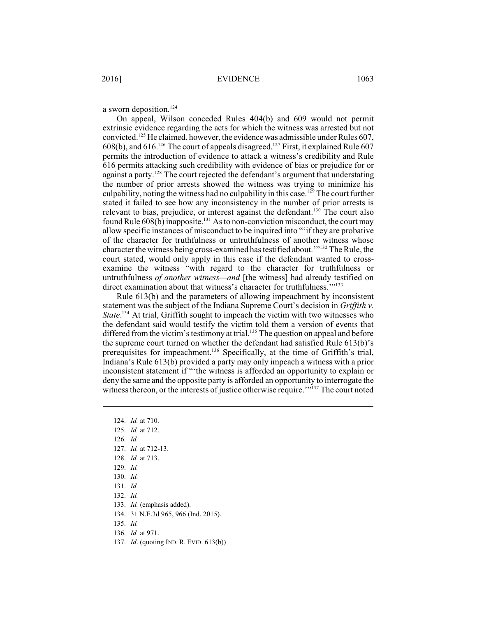a sworn deposition.<sup>124</sup>

On appeal, Wilson conceded Rules 404(b) and 609 would not permit extrinsic evidence regarding the acts for which the witness was arrested but not convicted.<sup>125</sup> He claimed, however, the evidence was admissible under Rules 607, 608(b), and 616.<sup>126</sup> The court of appeals disagreed.<sup>127</sup> First, it explained Rule 607 permits the introduction of evidence to attack a witness's credibility and Rule 616 permits attacking such credibility with evidence of bias or prejudice for or against a party. $128$  The court rejected the defendant's argument that understating the number of prior arrests showed the witness was trying to minimize his culpability, noting the witness had no culpability in this case.<sup>129</sup> The court further stated it failed to see how any inconsistency in the number of prior arrests is relevant to bias, prejudice, or interest against the defendant.<sup>130</sup> The court also found Rule  $608(b)$  inapposite.<sup>131</sup> As to non-conviction misconduct, the court may allow specific instances of misconduct to be inquired into "'if they are probative of the character for truthfulness or untruthfulness of another witness whose character the witness being cross-examined has testified about."<sup>132</sup> The Rule, the court stated, would only apply in this case if the defendant wanted to crossexamine the witness "with regard to the character for truthfulness or untruthfulness *of another witness—and* [the witness] had already testified on direct examination about that witness's character for truthfulness."<sup>133</sup>

Rule 613(b) and the parameters of allowing impeachment by inconsistent statement was the subject of the Indiana Supreme Court's decision in *Griffith v. State*.<sup>134</sup> At trial, Griffith sought to impeach the victim with two witnesses who the defendant said would testify the victim told them a version of events that differed from the victim's testimony at trial.<sup>135</sup> The question on appeal and before the supreme court turned on whether the defendant had satisfied Rule 613(b)'s prerequisites for impeachment.<sup>136</sup> Specifically, at the time of Griffith's trial, Indiana's Rule 613(b) provided a party may only impeach a witness with a prior inconsistent statement if "'the witness is afforded an opportunity to explain or deny the same and the opposite party is afforded an opportunity to interrogate the witness thereon, or the interests of justice otherwise require.<sup>""137</sup> The court noted

- 124. *Id.* at 710. 125. *Id.* at 712.
- 126. *Id.*
- 127. *Id.* at 712-13.
- 128. *Id.* at 713.
- 129. *Id.*
- 130. *Id.*
- 131. *Id.*
- 132. *Id.*
- 133. *Id.* (emphasis added).
- 134. 31 N.E.3d 965, 966 (Ind. 2015).
- 135. *Id.*
- 136. *Id.* at 971.
- 137. *Id*. (quoting IND. R. EVID. 613(b))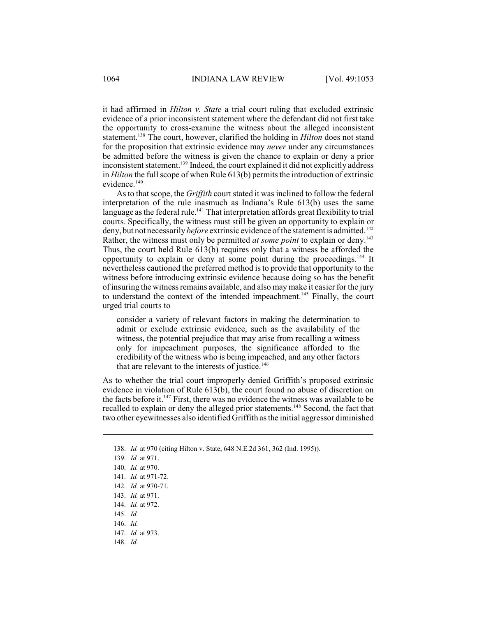it had affirmed in *Hilton v. State* a trial court ruling that excluded extrinsic evidence of a prior inconsistent statement where the defendant did not first take the opportunity to cross-examine the witness about the alleged inconsistent statement.<sup>138</sup> The court, however, clarified the holding in *Hilton* does not stand for the proposition that extrinsic evidence may *never* under any circumstances be admitted before the witness is given the chance to explain or deny a prior inconsistent statement.<sup>139</sup> Indeed, the court explained it did not explicitly address in *Hilton* the full scope of when Rule 613(b) permits the introduction of extrinsic evidence.<sup>140</sup>

As to that scope, the *Griffith* court stated it was inclined to follow the federal interpretation of the rule inasmuch as Indiana's Rule 613(b) uses the same language as the federal rule.<sup>141</sup> That interpretation affords great flexibility to trial courts. Specifically, the witness must still be given an opportunity to explain or deny, but not necessarily *before* extrinsic evidence of the statement is admitted.<sup>142</sup> Rather, the witness must only be permitted *at some point* to explain or deny.<sup>143</sup> Thus, the court held Rule 613(b) requires only that a witness be afforded the opportunity to explain or deny at some point during the proceedings.<sup>144</sup> It nevertheless cautioned the preferred method isto provide that opportunity to the witness before introducing extrinsic evidence because doing so has the benefit of insuring the witness remains available, and also may make it easier for the jury to understand the context of the intended impeachment.<sup>145</sup> Finally, the court urged trial courts to

consider a variety of relevant factors in making the determination to admit or exclude extrinsic evidence, such as the availability of the witness, the potential prejudice that may arise from recalling a witness only for impeachment purposes, the significance afforded to the credibility of the witness who is being impeached, and any other factors that are relevant to the interests of justice. $146$ 

As to whether the trial court improperly denied Griffith's proposed extrinsic evidence in violation of Rule 613(b), the court found no abuse of discretion on the facts before it.<sup>147</sup> First, there was no evidence the witness was available to be recalled to explain or deny the alleged prior statements.<sup>148</sup> Second, the fact that two other eyewitnesses also identified Griffith as the initial aggressor diminished

<sup>138.</sup> *Id.* at 970 (citing Hilton v. State, 648 N.E.2d 361, 362 (Ind. 1995)).

<sup>139.</sup> *Id.* at 971.

<sup>140.</sup> *Id.* at 970.

<sup>141.</sup> *Id.* at 971-72.

<sup>142.</sup> *Id.* at 970-71.

<sup>143.</sup> *Id.* at 971.

<sup>144.</sup> *Id.* at 972.

<sup>145.</sup> *Id.*

<sup>146.</sup> *Id.* 

<sup>147.</sup> *Id.* at 973.

<sup>148.</sup> *Id.*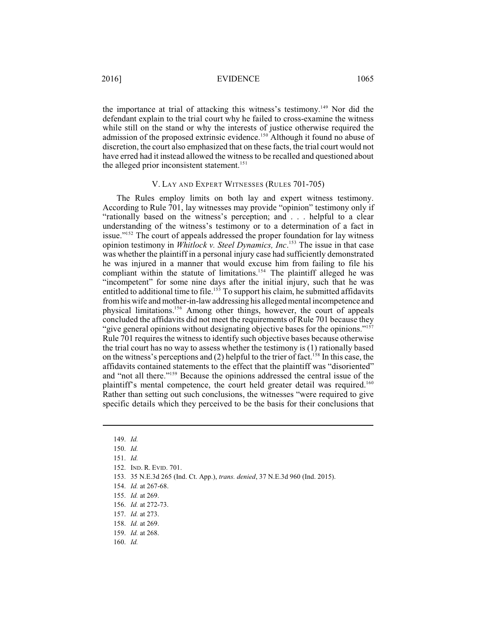the importance at trial of attacking this witness's testimony.<sup>149</sup> Nor did the defendant explain to the trial court why he failed to cross-examine the witness while still on the stand or why the interests of justice otherwise required the admission of the proposed extrinsic evidence.<sup>150</sup> Although it found no abuse of discretion, the court also emphasized that on these facts, the trial court would not have erred had it instead allowed the witness to be recalled and questioned about the alleged prior inconsistent statement.<sup>151</sup>

# V. LAY AND EXPERT WITNESSES (RULES 701-705)

The Rules employ limits on both lay and expert witness testimony. According to Rule 701, lay witnesses may provide "opinion" testimony only if "rationally based on the witness's perception; and . . . helpful to a clear understanding of the witness's testimony or to a determination of a fact in issue."<sup>152</sup> The court of appeals addressed the proper foundation for lay witness opinion testimony in *Whitlock v. Steel Dynamics, Inc.*<sup>153</sup> The issue in that case was whether the plaintiff in a personal injury case had sufficiently demonstrated he was injured in a manner that would excuse him from failing to file his compliant within the statute of limitations.<sup>154</sup> The plaintiff alleged he was "incompetent" for some nine days after the initial injury, such that he was entitled to additional time to file.<sup>155</sup> To support his claim, he submitted affidavits fromhis wife and mother-in-law addressing his alleged mental incompetence and physical limitations.<sup>156</sup> Among other things, however, the court of appeals concluded the affidavits did not meet the requirements of Rule 701 because they "give general opinions without designating objective bases for the opinions."<sup>157</sup> Rule 701 requires the witness to identify such objective bases because otherwise the trial court has no way to assess whether the testimony is (1) rationally based on the witness's perceptions and (2) helpful to the trier of fact.<sup>158</sup> In this case, the affidavits contained statements to the effect that the plaintiff was "disoriented" and "not all there."<sup>159</sup> Because the opinions addressed the central issue of the plaintiff's mental competence, the court held greater detail was required.<sup>160</sup> Rather than setting out such conclusions, the witnesses "were required to give specific details which they perceived to be the basis for their conclusions that

153. 35 N.E.3d 265 (Ind. Ct. App.), *trans. denied*, 37 N.E.3d 960 (Ind. 2015).

<sup>149.</sup> *Id.*

<sup>150.</sup> *Id.*

<sup>151.</sup> *Id.*

<sup>152.</sup> IND. R. EVID. 701.

<sup>154.</sup> *Id.* at 267-68.

<sup>155.</sup> *Id.* at 269.

<sup>156.</sup> *Id.* at 272-73.

<sup>157.</sup> *Id.* at 273.

<sup>158.</sup> *Id.* at 269.

<sup>159.</sup> *Id.* at 268.

<sup>160.</sup> *Id.*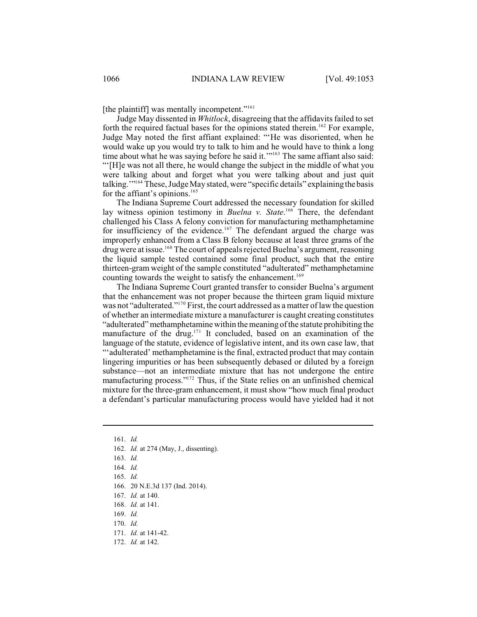[the plaintiff] was mentally incompetent."<sup>161</sup>

Judge May dissented in *Whitlock*, disagreeing that the affidavits failed to set forth the required factual bases for the opinions stated therein.<sup>162</sup> For example, Judge May noted the first affiant explained: "'He was disoriented, when he would wake up you would try to talk to him and he would have to think a long time about what he was saying before he said it.""<sup>163</sup> The same affiant also said: "'[H]e was not all there, he would change the subject in the middle of what you were talking about and forget what you were talking about and just quit talking."<sup>164</sup> These, Judge May stated, were "specific details" explaining the basis for the affiant's opinions. 165

The Indiana Supreme Court addressed the necessary foundation for skilled lay witness opinion testimony in *Buelna v. State*.<sup>166</sup> There, the defendant challenged his Class A felony conviction for manufacturing methamphetamine for insufficiency of the evidence.<sup>167</sup> The defendant argued the charge was improperly enhanced from a Class B felony because at least three grams of the drug were at issue.<sup>168</sup> The court of appeals rejected Buelna's argument, reasoning the liquid sample tested contained some final product, such that the entire thirteen-gram weight of the sample constituted "adulterated" methamphetamine counting towards the weight to satisfy the enhancement. 169

The Indiana Supreme Court granted transfer to consider Buelna's argument that the enhancement was not proper because the thirteen gram liquid mixture was not "adulterated."<sup>170</sup> First, the court addressed as a matter of law the question of whether an intermediate mixture a manufacturer is caught creating constitutes "adulterated"methamphetamine within themeaning of the statute prohibiting the manufacture of the drug.<sup>171</sup> It concluded, based on an examination of the language of the statute, evidence of legislative intent, and its own case law, that "'adulterated' methamphetamine is the final, extracted product that may contain lingering impurities or has been subsequently debased or diluted by a foreign substance—not an intermediate mixture that has not undergone the entire manufacturing process."<sup>172</sup> Thus, if the State relies on an unfinished chemical mixture for the three-gram enhancement, it must show "how much final product a defendant's particular manufacturing process would have yielded had it not

<sup>161.</sup> *Id.* 

<sup>162.</sup> *Id.* at 274 (May, J., dissenting).

<sup>163.</sup> *Id.*

<sup>164.</sup> *Id.* 

<sup>165.</sup> *Id.* 

<sup>166.</sup> 20 N.E.3d 137 (Ind. 2014).

<sup>167.</sup> *Id.* at 140.

<sup>168.</sup> *Id.* at 141.

<sup>169.</sup> *Id.*

<sup>170.</sup> *Id.* 

<sup>171.</sup> *Id.* at 141-42.

<sup>172.</sup> *Id.* at 142.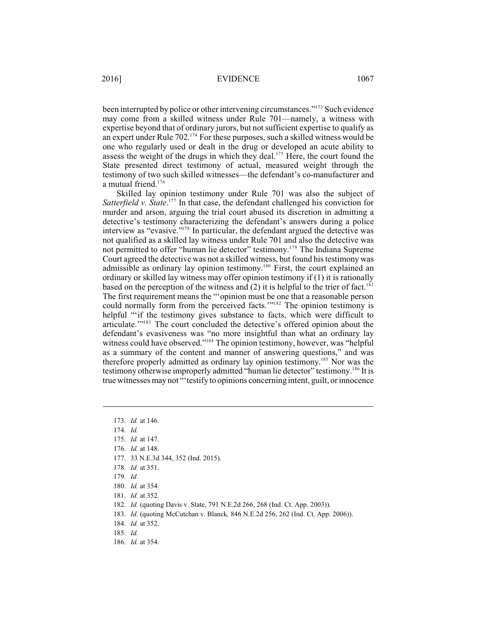been interrupted by police or other intervening circumstances."<sup>173</sup> Such evidence may come from a skilled witness under Rule 701—namely, a witness with expertise beyond that of ordinary jurors, but not sufficient expertise to qualify as an expert under Rule 702.<sup>174</sup> For these purposes, such a skilled witness would be one who regularly used or dealt in the drug or developed an acute ability to assess the weight of the drugs in which they deal. $175$  Here, the court found the State presented direct testimony of actual, measured weight through the testimony of two such skilled witnesses—the defendant's co-manufacturer and a mutual friend.<sup>176</sup>

Skilled lay opinion testimony under Rule 701 was also the subject of *Satterfield v. State*.<sup>177</sup> In that case, the defendant challenged his conviction for murder and arson, arguing the trial court abused its discretion in admitting a detective's testimony characterizing the defendant's answers during a police interview as "evasive." $178$  In particular, the defendant argued the detective was not qualified as a skilled lay witness under Rule 701 and also the detective was not permitted to offer "human lie detector" testimony.<sup>179</sup> The Indiana Supreme Court agreed the detective was not a skilled witness, but found histestimony was admissible as ordinary lay opinion testimony.<sup>180</sup> First, the court explained an ordinary or skilled lay witness may offer opinion testimony if (1) it is rationally based on the perception of the witness and  $(2)$  it is helpful to the trier of fact.<sup>181</sup> The first requirement means the "'opinion must be one that a reasonable person could normally form from the perceived facts.'"<sup>182</sup> The opinion testimony is helpful "'if the testimony gives substance to facts, which were difficult to articulate."<sup>183</sup> The court concluded the detective's offered opinion about the defendant's evasiveness was "no more insightful than what an ordinary lay witness could have observed."<sup>184</sup> The opinion testimony, however, was "helpful as a summary of the content and manner of answering questions," and was therefore properly admitted as ordinary lay opinion testimony.<sup>185</sup> Nor was the testimony otherwise improperly admitted "human lie detector" testimony.<sup>186</sup> It is true witnesses may not "'testify to opinions concerning intent, guilt, or innocence

- 176. *Id.* at 148.
- 177. 33 N.E.3d 344, 352 (Ind. 2015).
- 178. *Id.* at 351.
- 179. *Id.*
- 180. *Id.* at 354.
- 181. *Id.* at 352.
- 182. *Id.* (quoting Davis v. State, 791 N.E.2d 266, 268 (Ind. Ct. App. 2003)).
- 183. *Id.* (quoting McCutchan v. Blanck*,* 846 N.E.2d 256, 262 (Ind. Ct. App. 2006)).
- 184. *Id.* at 352.
- 185. *Id.*
- 186. *Id.* at 354.

<sup>173.</sup> *Id.* at 146.

<sup>174.</sup> *Id.* 

<sup>175.</sup> *Id.* at 147.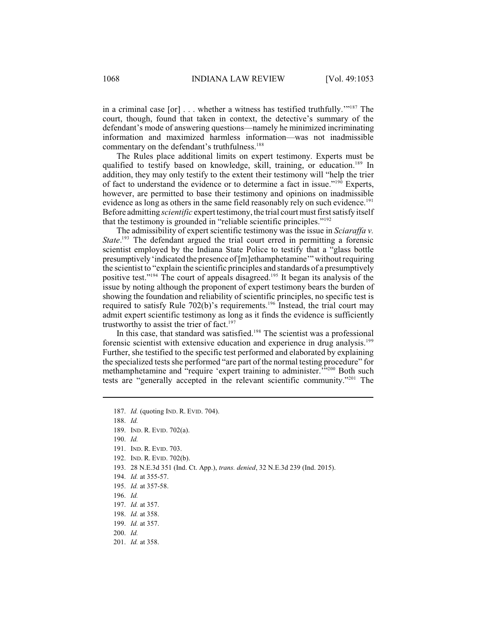in a criminal case  $[or]$ ... whether a witness has testified truthfully."<sup>187</sup> The court, though, found that taken in context, the detective's summary of the defendant's mode of answering questions—namely he minimized incriminating information and maximized harmless information—was not inadmissible commentary on the defendant's truthfulness.<sup>188</sup>

The Rules place additional limits on expert testimony. Experts must be qualified to testify based on knowledge, skill, training, or education.<sup>189</sup> In addition, they may only testify to the extent their testimony will "help the trier of fact to understand the evidence or to determine a fact in issue." $190$  Experts, however, are permitted to base their testimony and opinions on inadmissible evidence as long as others in the same field reasonably rely on such evidence.<sup>191</sup> Before admitting *scientific* expert testimony, the trial court must first satisfy itself that the testimony is grounded in "reliable scientific principles."<sup>192</sup>

The admissibility of expert scientific testimony was the issue in *Sciaraffa v. State*.<sup>193</sup> The defendant argued the trial court erred in permitting a forensic scientist employed by the Indiana State Police to testify that a "glass bottle presumptively'indicated the presence of [m]ethamphetamine'" withoutrequiring the scientist to "explain the scientific principles and standards of a presumptively positive test."<sup>194</sup> The court of appeals disagreed.<sup>195</sup> It began its analysis of the issue by noting although the proponent of expert testimony bears the burden of showing the foundation and reliability of scientific principles, no specific test is required to satisfy Rule  $702(b)$ 's requirements.<sup>196</sup> Instead, the trial court may admit expert scientific testimony as long as it finds the evidence is sufficiently trustworthy to assist the trier of fact. 197

In this case, that standard was satisfied.<sup>198</sup> The scientist was a professional forensic scientist with extensive education and experience in drug analysis.<sup>199</sup> Further, she testified to the specific test performed and elaborated by explaining the specialized tests she performed "are part of the normal testing procedure" for methamphetamine and "require 'expert training to administer."<sup>200</sup> Both such tests are "generally accepted in the relevant scientific community."<sup>201</sup> The

- 193. 28 N.E.3d 351 (Ind. Ct. App.), *trans. denied*, 32 N.E.3d 239 (Ind. 2015).
- 194. *Id.* at 355-57.
- 195. *Id.* at 357-58.
- 196. *Id.*
- 197. *Id.* at 357.
- 198. *Id.* at 358.
- 199. *Id.* at 357.
- 200. *Id.*
- 201. *Id.* at 358.

<sup>187.</sup> *Id.* (quoting IND. R. EVID. 704).

<sup>188.</sup> *Id.* 

<sup>189.</sup> IND. R. EVID. 702(a).

<sup>190.</sup> *Id.* 

<sup>191.</sup> IND. R. EVID. 703.

<sup>192.</sup> IND. R. EVID. 702(b).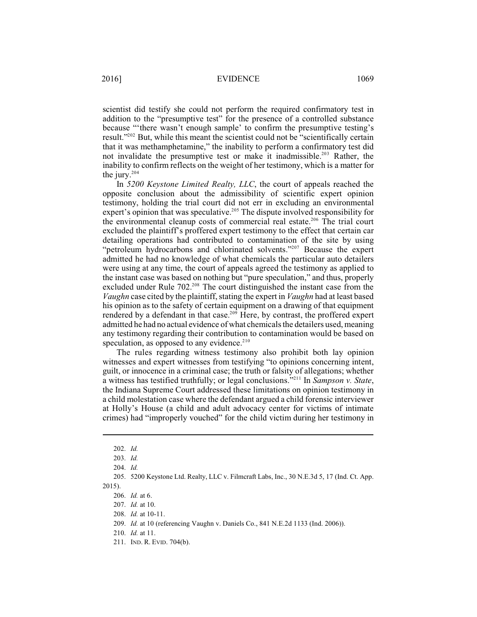scientist did testify she could not perform the required confirmatory test in addition to the "presumptive test" for the presence of a controlled substance because "'there wasn't enough sample' to confirm the presumptive testing's result."<sup> $202$ </sup> But, while this meant the scientist could not be "scientifically certain that it was methamphetamine," the inability to perform a confirmatory test did not invalidate the presumptive test or make it inadmissible.<sup>203</sup> Rather, the inability to confirm reflects on the weight of her testimony, which is a matter for the jury.<sup>204</sup>

In *5200 Keystone Limited Realty, LLC*, the court of appeals reached the opposite conclusion about the admissibility of scientific expert opinion testimony, holding the trial court did not err in excluding an environmental expert's opinion that was speculative.<sup>205</sup> The dispute involved responsibility for the environmental cleanup costs of commercial real estate.<sup>206</sup> The trial court excluded the plaintiff's proffered expert testimony to the effect that certain car detailing operations had contributed to contamination of the site by using "petroleum hydrocarbons and chlorinated solvents."<sup>207</sup> Because the expert admitted he had no knowledge of what chemicals the particular auto detailers were using at any time, the court of appeals agreed the testimony as applied to the instant case was based on nothing but "pure speculation," and thus, properly excluded under Rule  $702<sup>208</sup>$  The court distinguished the instant case from the *Vaughn* case cited by the plaintiff, stating the expert in *Vaughn* had at least based his opinion as to the safety of certain equipment on a drawing of that equipment rendered by a defendant in that case.<sup>209</sup> Here, by contrast, the proffered expert admitted he had no actual evidence of what chemicals the detailers used, meaning any testimony regarding their contribution to contamination would be based on speculation, as opposed to any evidence.<sup>210</sup>

The rules regarding witness testimony also prohibit both lay opinion witnesses and expert witnesses from testifying "to opinions concerning intent, guilt, or innocence in a criminal case; the truth or falsity of allegations; whether a witness has testified truthfully; or legal conclusions."<sup>211</sup> In *Sampson v. State*, the Indiana Supreme Court addressed these limitations on opinion testimony in a child molestation case where the defendant argued a child forensic interviewer at Holly's House (a child and adult advocacy center for victims of intimate crimes) had "improperly vouched" for the child victim during her testimony in

<sup>202.</sup> *Id.*

<sup>203.</sup> *Id.*

<sup>204.</sup> *Id.* 

<sup>205.</sup> 5200 Keystone Ltd. Realty, LLC v. Filmcraft Labs, Inc., 30 N.E.3d 5, 17 (Ind. Ct. App. 2015).

<sup>206.</sup> *Id.* at 6.

<sup>207.</sup> *Id.* at 10.

<sup>208.</sup> *Id.* at 10-11.

<sup>209.</sup> *Id.* at 10 (referencing Vaughn v. Daniels Co., 841 N.E.2d 1133 (Ind. 2006)).

<sup>210.</sup> *Id.* at 11.

<sup>211.</sup> IND. R. EVID. 704(b).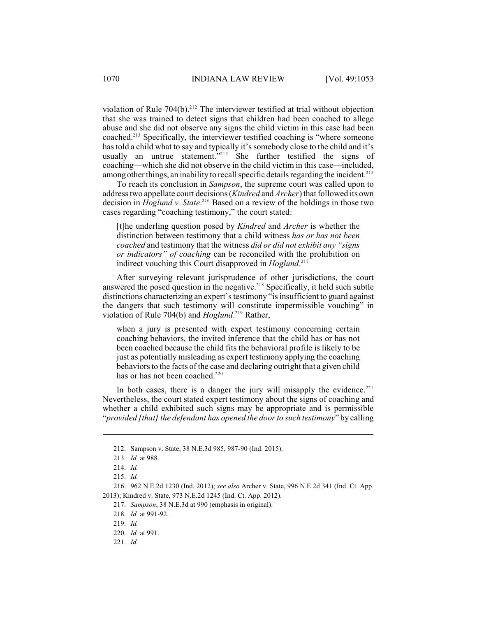violation of Rule 704(b).<sup>212</sup> The interviewer testified at trial without objection that she was trained to detect signs that children had been coached to allege abuse and she did not observe any signs the child victim in this case had been coached.<sup>213</sup> Specifically, the interviewer testified coaching is "where someone has told a child what to say and typically it's somebody close to the child and it's usually an untrue statement."<sup>214</sup> She further testified the signs of coaching—which she did not observe in the child victim in this case—included, among other things, an inability to recall specific details regarding the incident.<sup>215</sup>

To reach its conclusion in *Sampson*, the supreme court was called upon to address two appellate court decisions(*Kindred* and *Archer*) that followed its own decision in *Hoglund v. State*.<sup>216</sup> Based on a review of the holdings in those two cases regarding "coaching testimony," the court stated:

[t]he underling question posed by *Kindred* and *Archer* is whether the distinction between testimony that a child witness *has or has not been coached* and testimony that the witness *did or did not exhibit any "signs or indicators" of coaching* can be reconciled with the prohibition on indirect vouching this Court disapproved in *Hoglund*. 217

After surveying relevant jurisprudence of other jurisdictions, the court answered the posed question in the negative. $218$  Specifically, it held such subtle distinctions characterizing an expert's testimony "is insufficient to guard against the dangers that such testimony will constitute impermissible vouching" in violation of Rule 704(b) and *Hoglund*.<sup>219</sup> Rather,

when a jury is presented with expert testimony concerning certain coaching behaviors, the invited inference that the child has or has not been coached because the child fits the behavioral profile is likely to be just as potentially misleading as expert testimony applying the coaching behaviors to the facts of the case and declaring outright that a given child has or has not been coached.<sup>220</sup>

In both cases, there is a danger the jury will misapply the evidence.<sup>221</sup> Nevertheless, the court stated expert testimony about the signs of coaching and whether a child exhibited such signs may be appropriate and is permissible "*provided [that] the defendant has opened the doorto such testimony*" by calling

<sup>212.</sup> Sampson v. State, 38 N.E.3d 985, 987-90 (Ind. 2015).

<sup>213.</sup> *Id.* at 988.

<sup>214.</sup> *Id.* 

<sup>215.</sup> *Id.* 

<sup>216.</sup> 962 N.E.2d 1230 (Ind. 2012); *see also* Archer v. State, 996 N.E.2d 341 (Ind. Ct. App. 2013); Kindred v. State, 973 N.E.2d 1245 (Ind. Ct. App. 2012).

<sup>217.</sup> *Sampson*, 38 N.E.3d at 990 (emphasis in original).

<sup>218.</sup> *Id.* at 991-92.

<sup>219.</sup> *Id.*

<sup>220.</sup> *Id.* at 991.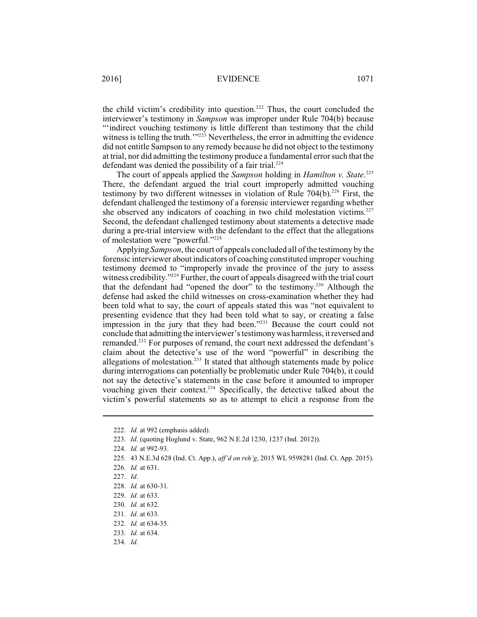the child victim's credibility into question. $222$  Thus, the court concluded the interviewer's testimony in *Sampson* was improper under Rule 704(b) because "'indirect vouching testimony is little different than testimony that the child witness is telling the truth."<sup>223</sup> Nevertheless, the error in admitting the evidence did not entitle Sampson to any remedy because he did not object to the testimony at trial, nor did admitting the testimony produce a fundamental errorsuch that the defendant was denied the possibility of a fair trial. 224

The court of appeals applied the *Sampson* holding in *Hamilton v. State*. 225 There, the defendant argued the trial court improperly admitted vouching testimony by two different witnesses in violation of Rule  $704(b)$ .<sup>226</sup> First, the defendant challenged the testimony of a forensic interviewer regarding whether she observed any indicators of coaching in two child molestation victims.<sup>227</sup> Second, the defendant challenged testimony about statements a detective made during a pre-trial interview with the defendant to the effect that the allegations of molestation were "powerful."<sup>228</sup>

Applying *Sampson*, the court of appeals concluded all of the testimony by the forensic interviewer about indicators of coaching constituted improper vouching testimony deemed to "improperly invade the province of the jury to assess witness credibility. $"229$  Further, the court of appeals disagreed with the trial court that the defendant had "opened the door" to the testimony.<sup>230</sup> Although the defense had asked the child witnesses on cross-examination whether they had been told what to say, the court of appeals stated this was "not equivalent to presenting evidence that they had been told what to say, or creating a false impression in the jury that they had been." $^{231}$  Because the court could not conclude that admitting the interviewer'stestimonywas harmless, itreversed and remanded.<sup>232</sup> For purposes of remand, the court next addressed the defendant's claim about the detective's use of the word "powerful" in describing the allegations of molestation. $233$  It stated that although statements made by police during interrogations can potentially be problematic under Rule 704(b), it could not say the detective's statements in the case before it amounted to improper vouching given their context.<sup>234</sup> Specifically, the detective talked about the victim's powerful statements so as to attempt to elicit a response from the

<sup>222.</sup> *Id.* at 992 (emphasis added).

<sup>223.</sup> *Id.* (quoting Hoglund v. State, 962 N.E.2d 1230, 1237 (Ind. 2012)).

<sup>224.</sup> *Id.* at 992-93.

<sup>225.</sup> 43 N.E.3d 628 (Ind. Ct. App.), *aff'd on reh'g*, 2015 WL 9598281 (Ind. Ct. App. 2015).

<sup>226.</sup> *Id.* at 631.

<sup>228.</sup> *Id.* at 630-31.

<sup>229.</sup> *Id.* at 633.

<sup>230.</sup> *Id.* at 632.

<sup>231.</sup> *Id.* at 633.

<sup>232.</sup> *Id.* at 634-35.

<sup>233.</sup> *Id.* at 634.

<sup>234.</sup> *Id.*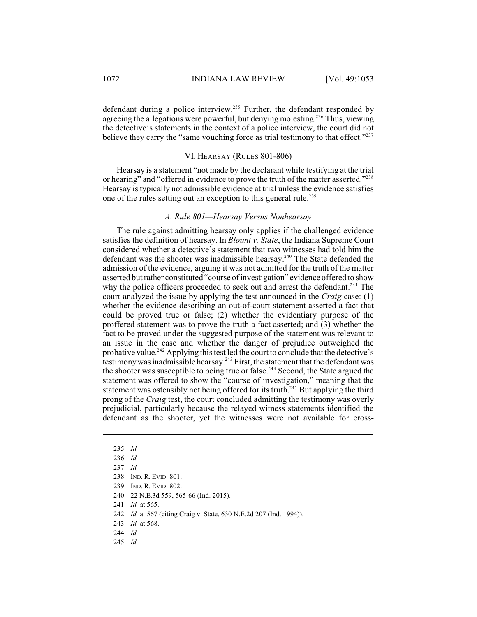defendant during a police interview.<sup>235</sup> Further, the defendant responded by agreeing the allegations were powerful, but denying molesting.<sup>236</sup> Thus, viewing the detective's statements in the context of a police interview, the court did not believe they carry the "same vouching force as trial testimony to that effect."<sup>237</sup>

### VI. HEARSAY (RULES 801-806)

Hearsay is a statement "not made by the declarant while testifying at the trial or hearing" and "offered in evidence to prove the truth of the matter asserted."<sup>238</sup> Hearsay is typically not admissible evidence at trial unless the evidence satisfies one of the rules setting out an exception to this general rule. 239

### *A. Rule 801—Hearsay Versus Nonhearsay*

The rule against admitting hearsay only applies if the challenged evidence satisfies the definition of hearsay. In *Blount v. State*, the Indiana Supreme Court considered whether a detective's statement that two witnesses had told him the defendant was the shooter was inadmissible hearsay.<sup>240</sup> The State defended the admission of the evidence, arguing it was not admitted for the truth of the matter asserted but rather constituted "course of investigation" evidence offered to show why the police officers proceeded to seek out and arrest the defendant.<sup> $241$ </sup> The court analyzed the issue by applying the test announced in the *Craig* case: (1) whether the evidence describing an out-of-court statement asserted a fact that could be proved true or false; (2) whether the evidentiary purpose of the proffered statement was to prove the truth a fact asserted; and (3) whether the fact to be proved under the suggested purpose of the statement was relevant to an issue in the case and whether the danger of prejudice outweighed the probative value.<sup>242</sup> Applying this test led the court to conclude that the detective's testimony was inadmissible hearsay.<sup>243</sup> First, the statement that the defendant was the shooter was susceptible to being true or false.<sup>244</sup> Second, the State argued the statement was offered to show the "course of investigation," meaning that the statement was ostensibly not being offered for its truth.<sup>245</sup> But applying the third prong of the *Craig* test, the court concluded admitting the testimony was overly prejudicial, particularly because the relayed witness statements identified the defendant as the shooter, yet the witnesses were not available for cross-

<sup>235.</sup> *Id.*

<sup>236.</sup> *Id.*

<sup>237.</sup> *Id.*

<sup>238.</sup> IND. R. EVID. 801.

<sup>239.</sup> IND. R. EVID. 802.

<sup>240.</sup> 22 N.E.3d 559, 565-66 (Ind. 2015).

<sup>241.</sup> *Id.* at 565.

<sup>242.</sup> *Id.* at 567 (citing Craig v. State, 630 N.E.2d 207 (Ind. 1994)).

<sup>243.</sup> *Id.* at 568.

<sup>244.</sup> *Id.*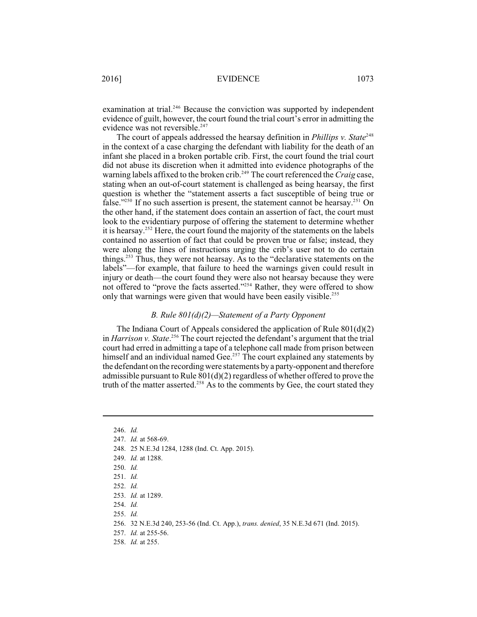examination at trial.<sup>246</sup> Because the conviction was supported by independent evidence of guilt, however, the court found the trial court's error in admitting the evidence was not reversible. 247

The court of appeals addressed the hearsay definition in *Phillips v. State*<sup>248</sup> in the context of a case charging the defendant with liability for the death of an infant she placed in a broken portable crib. First, the court found the trial court did not abuse its discretion when it admitted into evidence photographs of the warning labels affixed to the broken crib.<sup>249</sup> The court referenced the *Craig* case, stating when an out-of-court statement is challenged as being hearsay, the first question is whether the "statement asserts a fact susceptible of being true or false."<sup> $250$ </sup> If no such assertion is present, the statement cannot be hearsay.<sup> $251$ </sup> On the other hand, if the statement does contain an assertion of fact, the court must look to the evidentiary purpose of offering the statement to determine whether it is hearsay.<sup>252</sup> Here, the court found the majority of the statements on the labels contained no assertion of fact that could be proven true or false; instead, they were along the lines of instructions urging the crib's user not to do certain things.<sup> $253$ </sup> Thus, they were not hearsay. As to the "declarative statements on the labels"—for example, that failure to heed the warnings given could result in injury or death—the court found they were also not hearsay because they were not offered to "prove the facts asserted."<sup>254</sup> Rather, they were offered to show only that warnings were given that would have been easily visible.<sup>255</sup>

### *B. Rule 801(d)(2)—Statement of a Party Opponent*

The Indiana Court of Appeals considered the application of Rule 801(d)(2) in *Harrison v. State*.<sup>256</sup> The court rejected the defendant's argument that the trial court had erred in admitting a tape of a telephone call made from prison between himself and an individual named Gee.<sup>257</sup> The court explained any statements by the defendant on the recording were statements by a party-opponent and therefore admissible pursuant to Rule 801(d)(2) regardless of whether offered to prove the truth of the matter asserted. $258$  As to the comments by Gee, the court stated they

- 248. 25 N.E.3d 1284, 1288 (Ind. Ct. App. 2015).
- 249. *Id.* at 1288.
- 250. *Id.*
- 251. *Id.*
- 252. *Id.*
- 253. *Id.* at 1289.
- 254. *Id.*
- 255. *Id.*

- 257. *Id.* at 255-56.
- 258. *Id.* at 255.

<sup>246.</sup> *Id.*

<sup>247.</sup> *Id.* at 568-69.

<sup>256.</sup> 32 N.E.3d 240, 253-56 (Ind. Ct. App.), *trans. denied*, 35 N.E.3d 671 (Ind. 2015).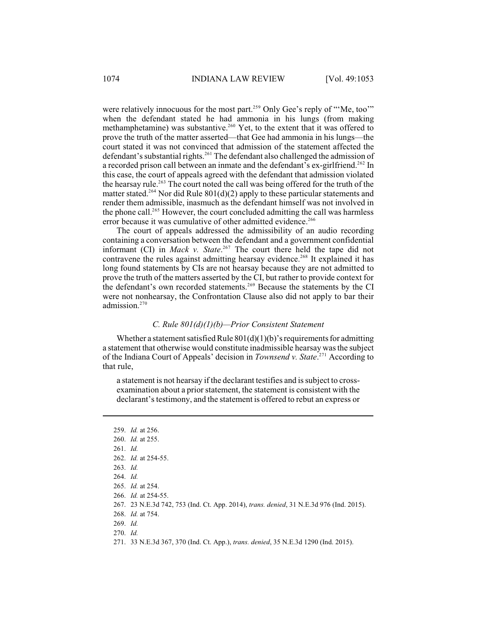were relatively innocuous for the most part.<sup>259</sup> Only Gee's reply of "'Me, too'" when the defendant stated he had ammonia in his lungs (from making methamphetamine) was substantive.<sup>260</sup> Yet, to the extent that it was offered to prove the truth of the matter asserted—that Gee had ammonia in his lungs—the court stated it was not convinced that admission of the statement affected the defendant's substantial rights.<sup>261</sup> The defendant also challenged the admission of a recorded prison call between an inmate and the defendant's ex-girlfriend.<sup>262</sup> In this case, the court of appeals agreed with the defendant that admission violated the hearsay rule.<sup>263</sup> The court noted the call was being offered for the truth of the matter stated.<sup>264</sup> Nor did Rule 801(d)(2) apply to these particular statements and render them admissible, inasmuch as the defendant himself was not involved in the phone call.<sup>265</sup> However, the court concluded admitting the call was harmless error because it was cumulative of other admitted evidence.<sup>266</sup>

The court of appeals addressed the admissibility of an audio recording containing a conversation between the defendant and a government confidential informant (CI) in *Mack v. State*.<sup>267</sup> The court there held the tape did not contravene the rules against admitting hearsay evidence.<sup>268</sup> It explained it has long found statements by CIs are not hearsay because they are not admitted to prove the truth of the matters asserted by the CI, but rather to provide context for the defendant's own recorded statements.<sup>269</sup> Because the statements by the CI were not nonhearsay, the Confrontation Clause also did not apply to bar their admission.<sup>270</sup>

### *C. Rule 801(d)(1)(b)—Prior Consistent Statement*

Whether a statement satisfied Rule  $801(d)(1)(b)$ 's requirements for admitting a statement that otherwise would constitute inadmissible hearsay was the subject of the Indiana Court of Appeals' decision in *Townsend v. State*<sup>271</sup> According to that rule,

a statement is not hearsay if the declarant testifies and is subject to crossexamination about a prior statement, the statement is consistent with the declarant's testimony, and the statement is offered to rebut an express or

|                   | 259. <i>Id.</i> at 256.                                                                         |
|-------------------|-------------------------------------------------------------------------------------------------|
|                   | 260. <i>Id.</i> at 255.                                                                         |
| $261.$ <i>Id.</i> |                                                                                                 |
|                   | 262. <i>Id.</i> at $254-55$ .                                                                   |
| $263.$ <i>Id.</i> |                                                                                                 |
| $264.$ <i>Id.</i> |                                                                                                 |
|                   | 265. <i>Id.</i> at 254.                                                                         |
|                   | 266. <i>Id.</i> at 254-55.                                                                      |
|                   | 267. 23 N.E.3d 742, 753 (Ind. Ct. App. 2014), <i>trans. denied</i> , 31 N.E.3d 976 (Ind. 2015). |
|                   | 268. <i>Id.</i> at 754.                                                                         |
| $269.$ Id.        |                                                                                                 |
| $270.$ <i>Id.</i> |                                                                                                 |
|                   | 271. 33 N.E.3d 367, 370 (Ind. Ct. App.), <i>trans. denied</i> , 35 N.E.3d 1290 (Ind. 2015).     |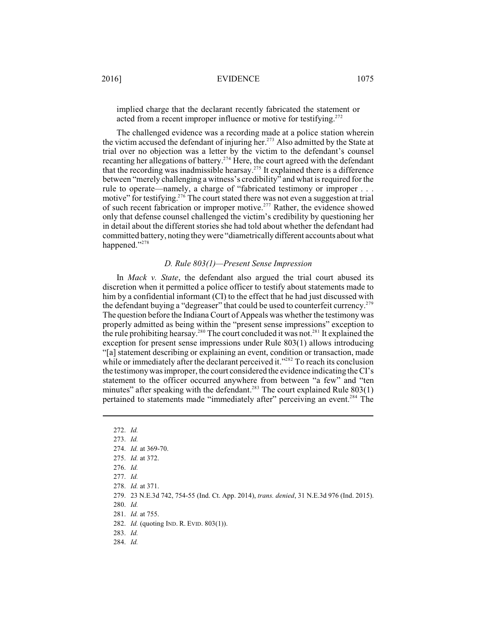implied charge that the declarant recently fabricated the statement or acted from a recent improper influence or motive for testifying.<sup>272</sup>

The challenged evidence was a recording made at a police station wherein the victim accused the defendant of injuring her.<sup>273</sup> Also admitted by the State at trial over no objection was a letter by the victim to the defendant's counsel recanting her allegations of battery.<sup> $274$ </sup> Here, the court agreed with the defendant that the recording was inadmissible hearsay.<sup>275</sup> It explained there is a difference between "merely challenging a witness's credibility" and what is required for the rule to operate—namely, a charge of "fabricated testimony or improper . . . motive" for testifying.<sup>276</sup> The court stated there was not even a suggestion at trial of such recent fabrication or improper motive.<sup>277</sup> Rather, the evidence showed only that defense counsel challenged the victim's credibility by questioning her in detail about the different stories she had told about whether the defendant had committed battery, noting they were "diametricallydifferent accounts about what happened."<sup>278</sup>

### *D. Rule 803(1)—Present Sense Impression*

In *Mack v. State*, the defendant also argued the trial court abused its discretion when it permitted a police officer to testify about statements made to him by a confidential informant (CI) to the effect that he had just discussed with the defendant buying a "degreaser" that could be used to counterfeit currency.<sup>279</sup> The question before the Indiana Court of Appeals was whether the testimony was properly admitted as being within the "present sense impressions" exception to the rule prohibiting hearsay.<sup> $280$ </sup> The court concluded it was not.<sup> $281$ </sup> It explained the exception for present sense impressions under Rule 803(1) allows introducing "[a] statement describing or explaining an event, condition or transaction, made while or immediately after the declarant perceived it."<sup>282</sup> To reach its conclusion the testimonywas improper, the court considered the evidence indicating theCI's statement to the officer occurred anywhere from between "a few" and "ten minutes" after speaking with the defendant.<sup>283</sup> The court explained Rule  $803(1)$ pertained to statements made "immediately after" perceiving an event.<sup>284</sup> The

280. *Id.*

281. *Id.* at 755.

282. *Id.* (quoting IND. R. EVID. 803(1)).

283. *Id.*

<sup>272.</sup> *Id.*

<sup>273.</sup> *Id.*

<sup>274.</sup> *Id.* at 369-70.

<sup>275.</sup> *Id.* at 372.

<sup>276.</sup> *Id.* 

<sup>277.</sup> *Id.* 

<sup>278.</sup> *Id.* at 371.

<sup>279.</sup> 23 N.E.3d 742, 754-55 (Ind. Ct. App. 2014), *trans. denied*, 31 N.E.3d 976 (Ind. 2015).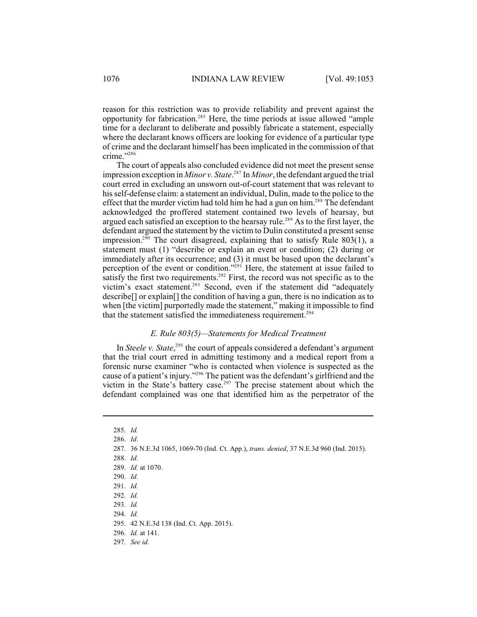reason for this restriction was to provide reliability and prevent against the opportunity for fabrication.<sup>285</sup> Here, the time periods at issue allowed "ample time for a declarant to deliberate and possibly fabricate a statement, especially where the declarant knows officers are looking for evidence of a particular type of crime and the declarant himself has been implicated in the commission of that crime."<sup>286</sup>

The court of appeals also concluded evidence did not meet the present sense impression exception in *Minor v. State*.<sup>287</sup> In *Minor*, the defendant argued the trial court erred in excluding an unsworn out-of-court statement that was relevant to hisself-defense claim: a statement an individual, Dulin, made to the police to the effect that the murder victim had told him he had a gun on him.<sup>288</sup> The defendant acknowledged the proffered statement contained two levels of hearsay, but argued each satisfied an exception to the hearsay rule.<sup>289</sup> As to the first layer, the defendant argued the statement by the victim to Dulin constituted a present sense impression.<sup>290</sup> The court disagreed, explaining that to satisfy Rule  $803(1)$ , a statement must (1) "describe or explain an event or condition; (2) during or immediately after its occurrence; and (3) it must be based upon the declarant's perception of the event or condition."<sup>291</sup> Here, the statement at issue failed to satisfy the first two requirements.<sup>292</sup> First, the record was not specific as to the victim's exact statement.<sup>293</sup> Second, even if the statement did "adequately describe[] or explain[] the condition of having a gun, there is no indication as to when [the victim] purportedly made the statement," making it impossible to find that the statement satisfied the immediateness requirement.<sup>294</sup>

# *E. Rule 803(5)—Statements for Medical Treatment*

In *Steele v. State*,<sup>295</sup> the court of appeals considered a defendant's argument that the trial court erred in admitting testimony and a medical report from a forensic nurse examiner "who is contacted when violence is suspected as the cause of a patient's injury."<sup>296</sup> The patient was the defendant's girlfriend and the victim in the State's battery case.<sup>297</sup> The precise statement about which the defendant complained was one that identified him as the perpetrator of the

- 290. *Id.*
- 291. *Id.*

- 293. *Id.*
- 294. *Id.*

- 296. *Id.* at 141.
- 297. *See id.*

<sup>285.</sup> *Id.* 

<sup>286.</sup> *Id.* 

<sup>287.</sup> 36 N.E.3d 1065, 1069-70 (Ind. Ct. App.), *trans. denied*, 37 N.E.3d 960 (Ind. 2015).

<sup>288.</sup> *Id.*

<sup>289.</sup> *Id.* at 1070.

<sup>292.</sup> *Id.*

<sup>295.</sup> 42 N.E.3d 138 (Ind. Ct. App. 2015).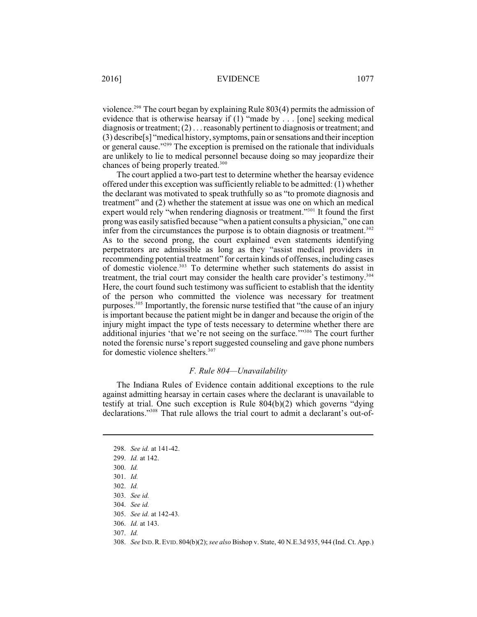violence.<sup>298</sup> The court began by explaining Rule  $803(4)$  permits the admission of evidence that is otherwise hearsay if (1) "made by . . . [one] seeking medical diagnosis or treatment; (2) . . . reasonably pertinent to diagnosis or treatment; and (3) describe[s] "medical history, symptoms, pain or sensations and their inception or general cause."<sup>299</sup> The exception is premised on the rationale that individuals are unlikely to lie to medical personnel because doing so may jeopardize their chances of being properly treated.<sup>300</sup>

The court applied a two-part test to determine whether the hearsay evidence offered under this exception was sufficiently reliable to be admitted: (1) whether the declarant was motivated to speak truthfully so as "to promote diagnosis and treatment" and (2) whether the statement at issue was one on which an medical expert would rely "when rendering diagnosis or treatment."<sup>301</sup> It found the first prong was easily satisfied because "when a patient consults a physician," one can infer from the circumstances the purpose is to obtain diagnosis or treatment. 302 As to the second prong, the court explained even statements identifying perpetrators are admissible as long as they "assist medical providers in recommending potential treatment" for certain kinds of offenses, including cases of domestic violence.<sup>303</sup> To determine whether such statements do assist in treatment, the trial court may consider the health care provider's testimony.<sup>304</sup> Here, the court found such testimony was sufficient to establish that the identity of the person who committed the violence was necessary for treatment purposes.<sup>305</sup> Importantly, the forensic nurse testified that "the cause of an injury is important because the patient might be in danger and because the origin of the injury might impact the type of tests necessary to determine whether there are additional injuries 'that we're not seeing on the surface."<sup>306</sup> The court further noted the forensic nurse's report suggested counseling and gave phone numbers for domestic violence shelters. 307

### *F. Rule 804—Unavailability*

The Indiana Rules of Evidence contain additional exceptions to the rule against admitting hearsay in certain cases where the declarant is unavailable to testify at trial. One such exception is Rule 804(b)(2) which governs "dying declarations."<sup>308</sup> That rule allows the trial court to admit a declarant's out-of-

<sup>298.</sup> *See id.* at 141-42.

<sup>299.</sup> *Id.* at 142.

<sup>300.</sup> *Id.*

<sup>301.</sup> *Id.* 

<sup>302.</sup> *Id.*

<sup>303.</sup> *See id.*

<sup>304.</sup> *See id.*

<sup>305.</sup> *See id.* at 142-43*.* 

<sup>306.</sup> *Id.* at 143.

<sup>307.</sup> *Id.* 

<sup>308.</sup> *See* IND.R.EVID. 804(b)(2); *see also* Bishop v. State, 40 N.E.3d 935, 944 (Ind. Ct. App.)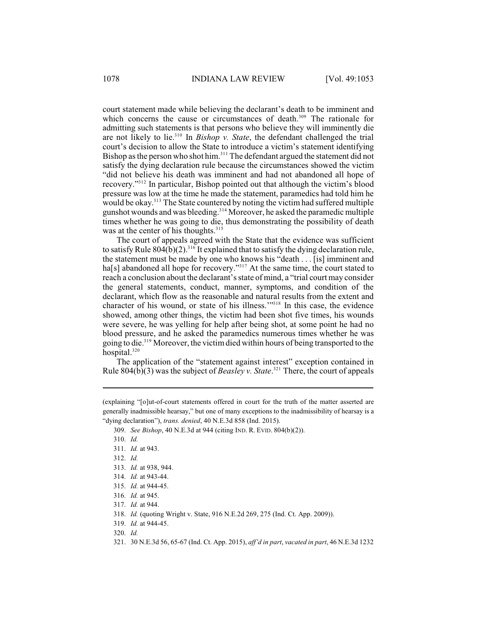court statement made while believing the declarant's death to be imminent and which concerns the cause or circumstances of death. $309$  The rationale for admitting such statements is that persons who believe they will imminently die are not likely to lie.<sup>310</sup> In *Bishop v. State*, the defendant challenged the trial court's decision to allow the State to introduce a victim's statement identifying Bishop as the person who shot him.<sup>311</sup> The defendant argued the statement did not satisfy the dying declaration rule because the circumstances showed the victim "did not believe his death was imminent and had not abandoned all hope of recovery."<sup>312</sup> In particular, Bishop pointed out that although the victim's blood pressure was low at the time he made the statement, paramedics had told him he would be okay.<sup>313</sup> The State countered by noting the victim had suffered multiple gunshot wounds and was bleeding.<sup>314</sup> Moreover, he asked the paramedic multiple times whether he was going to die, thus demonstrating the possibility of death was at the center of his thoughts.<sup>315</sup>

The court of appeals agreed with the State that the evidence was sufficient to satisfy Rule  $804(b)(2)$ . <sup>316</sup> It explained that to satisfy the dying declaration rule, the statement must be made by one who knows his "death . . . [is] imminent and ha[s] abandoned all hope for recovery."<sup>317</sup> At the same time, the court stated to reach a conclusion about the declarant's state of mind, a "trial court may consider the general statements, conduct, manner, symptoms, and condition of the declarant, which flow as the reasonable and natural results from the extent and character of his wound, or state of his illness."<sup>318</sup> In this case, the evidence showed, among other things, the victim had been shot five times, his wounds were severe, he was yelling for help after being shot, at some point he had no blood pressure, and he asked the paramedics numerous times whether he was going to die.<sup>319</sup> Moreover, the victim died within hours of being transported to the hospital.<sup>320</sup>

The application of the "statement against interest" exception contained in Rule 804(b)(3) was the subject of *Beasley v. State*.<sup>321</sup> There, the court of appeals

<sup>(</sup>explaining "[o]ut-of-court statements offered in court for the truth of the matter asserted are generally inadmissible hearsay," but one of many exceptions to the inadmissibility of hearsay is a "dying declaration"), *trans. denied*, 40 N.E.3d 858 (Ind. 2015).

<sup>309.</sup> *See Bishop*, 40 N.E.3d at 944 (citing IND. R. EVID. 804(b)(2)).

<sup>310.</sup> *Id.*

<sup>311.</sup> *Id.* at 943.

<sup>312.</sup> *Id.*

<sup>313.</sup> *Id.* at 938, 944.

<sup>314.</sup> *Id.* at 943-44.

<sup>315.</sup> *Id.* at 944-45.

<sup>316.</sup> *Id.* at 945.

<sup>317.</sup> *Id.* at 944.

<sup>318.</sup> *Id.* (quoting Wright v. State, 916 N.E.2d 269, 275 (Ind. Ct. App. 2009)).

<sup>319.</sup> *Id.* at 944-45.

<sup>320.</sup> *Id.* 

<sup>321.</sup> 30 N.E.3d 56, 65-67 (Ind. Ct. App. 2015), *aff'd in part*, *vacated in part*, 46 N.E.3d 1232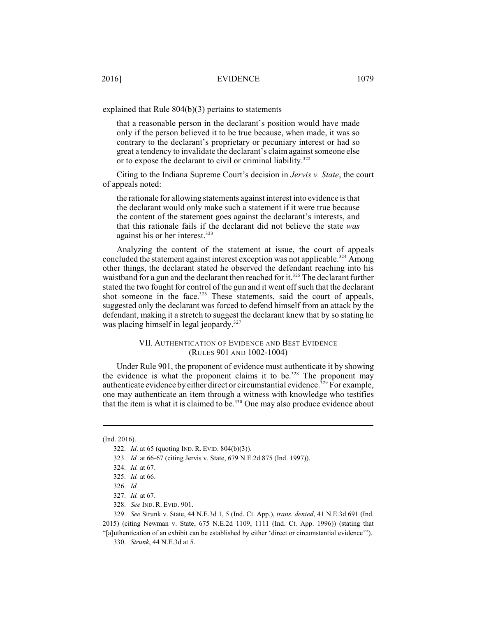explained that Rule 804(b)(3) pertains to statements

that a reasonable person in the declarant's position would have made only if the person believed it to be true because, when made, it was so contrary to the declarant's proprietary or pecuniary interest or had so great a tendency to invalidate the declarant's claimagainst someone else or to expose the declarant to civil or criminal liability.<sup>322</sup>

Citing to the Indiana Supreme Court's decision in *Jervis v. State*, the court of appeals noted:

the rationale for allowing statements against interest into evidence isthat the declarant would only make such a statement if it were true because the content of the statement goes against the declarant's interests, and that this rationale fails if the declarant did not believe the state *was* against his or her interest. 323

Analyzing the content of the statement at issue, the court of appeals concluded the statement against interest exception was not applicable.<sup>324</sup> Among other things, the declarant stated he observed the defendant reaching into his waistband for a gun and the declarant then reached for it.<sup>325</sup> The declarant further stated the two fought for control of the gun and it went off such that the declarant shot someone in the face.<sup>326</sup> These statements, said the court of appeals, suggested only the declarant was forced to defend himself from an attack by the defendant, making it a stretch to suggest the declarant knew that by so stating he was placing himself in legal jeopardy.<sup>327</sup>

### VII. AUTHENTICATION OF EVIDENCE AND BEST EVIDENCE (RULES 901 AND 1002-1004)

Under Rule 901, the proponent of evidence must authenticate it by showing the evidence is what the proponent claims it to be.<sup>328</sup> The proponent may authenticate evidence by either direct or circumstantial evidence.<sup>329</sup> For example, one may authenticate an item through a witness with knowledge who testifies that the item is what it is claimed to be.<sup>330</sup> One may also produce evidence about

329. *See* Strunk v. State, 44 N.E.3d 1, 5 (Ind. Ct. App.), *trans. denied*, 41 N.E.3d 691 (Ind. 2015) (citing Newman v. State, 675 N.E.2d 1109, 1111 (Ind. Ct. App. 1996)) (stating that "[a]uthentication of an exhibit can be established by either 'direct or circumstantial evidence'").

330. *Strunk*, 44 N.E.3d at 5.

<sup>(</sup>Ind. 2016).

<sup>322.</sup> *Id*. at 65 (quoting IND. R. EVID. 804(b)(3)).

<sup>323.</sup> *Id.* at 66-67 (citing Jervis v. State, 679 N.E.2d 875 (Ind. 1997)).

<sup>324.</sup> *Id.* at 67.

<sup>325.</sup> *Id.* at 66.

<sup>326.</sup> *Id.* 

<sup>327.</sup> *Id.* at 67.

<sup>328.</sup> *See* IND. R. EVID. 901.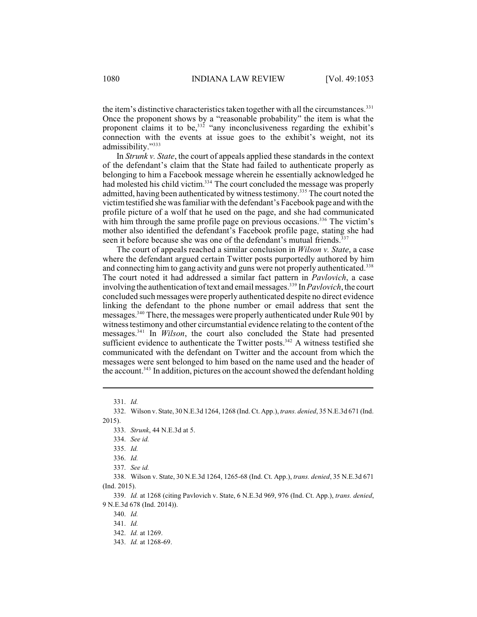the item's distinctive characteristics taken together with all the circumstances. $331$ Once the proponent shows by a "reasonable probability" the item is what the proponent claims it to be,  $332$  "any inconclusiveness regarding the exhibit's connection with the events at issue goes to the exhibit's weight, not its admissibility."<sup>333</sup>

In *Strunk v. State*, the court of appeals applied these standards in the context of the defendant's claim that the State had failed to authenticate properly as belonging to him a Facebook message wherein he essentially acknowledged he had molested his child victim.<sup>334</sup> The court concluded the message was properly admitted, having been authenticated by witness testimony.<sup>335</sup> The court noted the victimtestified she was familiar with the defendant's Facebook page and with the profile picture of a wolf that he used on the page, and she had communicated with him through the same profile page on previous occasions.<sup>336</sup> The victim's mother also identified the defendant's Facebook profile page, stating she had seen it before because she was one of the defendant's mutual friends.<sup>337</sup>

The court of appeals reached a similar conclusion in *Wilson v. State*, a case where the defendant argued certain Twitter posts purportedly authored by him and connecting him to gang activity and guns were not properly authenticated.<sup>338</sup> The court noted it had addressed a similar fact pattern in *Pavlovich*, a case involving the authentication of text and email messages.<sup>339</sup> In *Pavlovich*, the court concluded such messages were properly authenticated despite no direct evidence linking the defendant to the phone number or email address that sent the messages.<sup>340</sup> There, the messages were properly authenticated under Rule 901 by witness testimony and other circumstantial evidence relating to the content of the messages.<sup>341</sup> In *Wilson*, the court also concluded the State had presented sufficient evidence to authenticate the Twitter posts.<sup>342</sup> A witness testified she communicated with the defendant on Twitter and the account from which the messages were sent belonged to him based on the name used and the header of the account.<sup>343</sup> In addition, pictures on the account showed the defendant holding

<sup>331.</sup> *Id.*

<sup>332.</sup> Wilson v. State, 30 N.E.3d 1264, 1268 (Ind. Ct. App.), *trans. denied*, 35 N.E.3d 671 (Ind. 2015).

<sup>333.</sup> *Strunk*, 44 N.E.3d at 5.

<sup>334.</sup> *See id.*

<sup>335.</sup> *Id.* 

<sup>336.</sup> *Id.*

<sup>337.</sup> *See id.*

<sup>338.</sup> Wilson v. State, 30 N.E.3d 1264, 1265-68 (Ind. Ct. App.), *trans. denied*, 35 N.E.3d 671 (Ind. 2015).

<sup>339.</sup> *Id.* at 1268 (citing Pavlovich v. State, 6 N.E.3d 969, 976 (Ind. Ct. App.), *trans. denied*, 9 N.E.3d 678 (Ind. 2014)).

<sup>340.</sup> *Id.*

<sup>341.</sup> *Id.*

<sup>342.</sup> *Id.* at 1269.

<sup>343.</sup> *Id.* at 1268-69.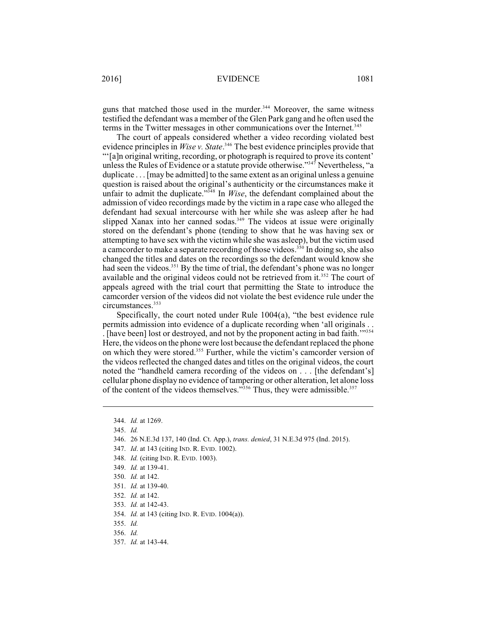guns that matched those used in the murder.<sup>344</sup> Moreover, the same witness testified the defendant was a member of the Glen Park gang and he often used the terms in the Twitter messages in other communications over the Internet.<sup>345</sup>

The court of appeals considered whether a video recording violated best evidence principles in *Wise v. State*.<sup>346</sup> The best evidence principles provide that "'[a]n original writing, recording, or photograph is required to prove its content' unless the Rules of Evidence or a statute provide otherwise."<sup>347</sup> Nevertheless, "a duplicate . . . [may be admitted] to the same extent as an original unless a genuine question is raised about the original's authenticity or the circumstances make it unfair to admit the duplicate."<sup>348</sup> In *Wise*, the defendant complained about the admission of video recordings made by the victim in a rape case who alleged the defendant had sexual intercourse with her while she was asleep after he had slipped Xanax into her canned sodas.<sup>349</sup> The videos at issue were originally stored on the defendant's phone (tending to show that he was having sex or attempting to have sex with the victim while she was asleep), but the victim used a camcorder to make a separate recording of those videos.<sup>350</sup> In doing so, she also changed the titles and dates on the recordings so the defendant would know she had seen the videos.<sup>351</sup> By the time of trial, the defendant's phone was no longer available and the original videos could not be retrieved from it.<sup>352</sup> The court of appeals agreed with the trial court that permitting the State to introduce the camcorder version of the videos did not violate the best evidence rule under the circumstances.<sup>353</sup>

Specifically, the court noted under Rule 1004(a), "the best evidence rule permits admission into evidence of a duplicate recording when 'all originals . . . [have been] lost or destroyed, and not by the proponent acting in bad faith.'" 354 Here, the videos on the phone were lost because the defendant replaced the phone on which they were stored.<sup>355</sup> Further, while the victim's camcorder version of the videos reflected the changed dates and titles on the original videos, the court noted the "handheld camera recording of the videos on . . . [the defendant's] cellular phone display no evidence of tampering or other alteration, let alone loss of the content of the videos themselves." $356$  Thus, they were admissible. $357$ 

- 346. 26 N.E.3d 137, 140 (Ind. Ct. App.), *trans. denied*, 31 N.E.3d 975 (Ind. 2015).
- 347. *Id*. at 143 (citing IND. R. EVID. 1002).
- 348. *Id.* (citing IND. R. EVID. 1003).
- 349. *Id.* at 139-41.
- 350. *Id.* at 142.
- 351. *Id.* at 139-40.
- 352. *Id.* at 142.
- 353. *Id.* at 142-43.
- 354. *Id.* at 143 (citing IND. R. EVID. 1004(a)).
- 355. *Id.*
- 356. *Id.*
- 357. *Id.* at 143-44.

<sup>344.</sup> *Id.* at 1269.

<sup>345.</sup> *Id.*